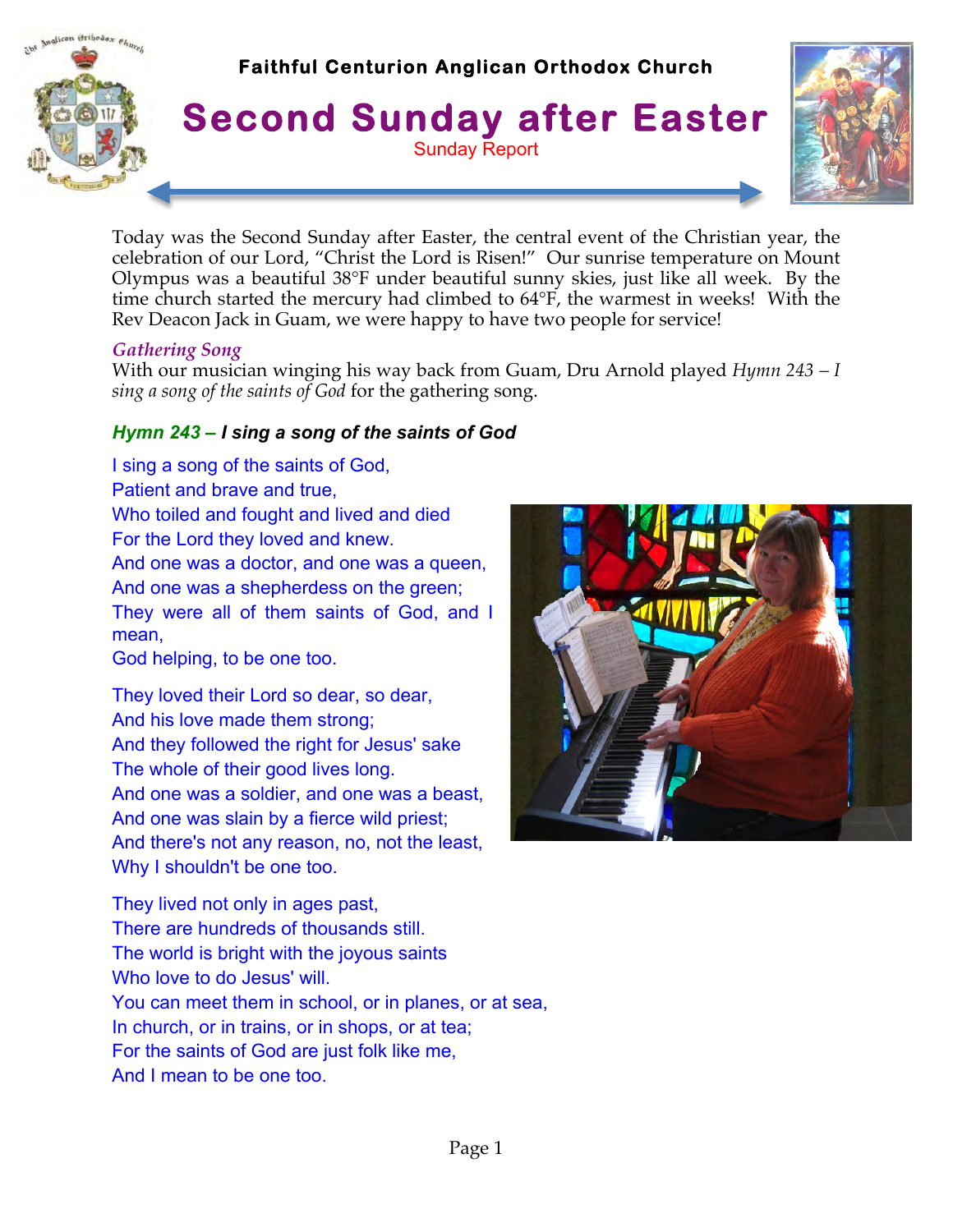

Today was the Second Sunday after Easter, the central event of the Christian year, the celebration of our Lord, "Christ the Lord is Risen!" Our sunrise temperature on Mount Olympus was a beautiful 38°F under beautiful sunny skies, just like all week. By the time church started the mercury had climbed to 64°F, the warmest in weeks! With the Rev Deacon Jack in Guam, we were happy to have two people for service!

#### *Gathering Song*

With our musician winging his way back from Guam, Dru Arnold played *Hymn 243 – I sing a song of the saints of God* for the gathering song.

### *Hymn 243 – I sing a song of the saints of God*

I sing a song of the saints of God, Patient and brave and true, Who toiled and fought and lived and died For the Lord they loved and knew. And one was a doctor, and one was a queen, And one was a shepherdess on the green; They were all of them saints of God, and I mean,

God helping, to be one too.

They loved their Lord so dear, so dear, And his love made them strong; And they followed the right for Jesus' sake The whole of their good lives long. And one was a soldier, and one was a beast, And one was slain by a fierce wild priest; And there's not any reason, no, not the least, Why I shouldn't be one too.

They lived not only in ages past, There are hundreds of thousands still. The world is bright with the joyous saints Who love to do Jesus' will. You can meet them in school, or in planes, or at sea, In church, or in trains, or in shops, or at tea; For the saints of God are just folk like me, And I mean to be one too.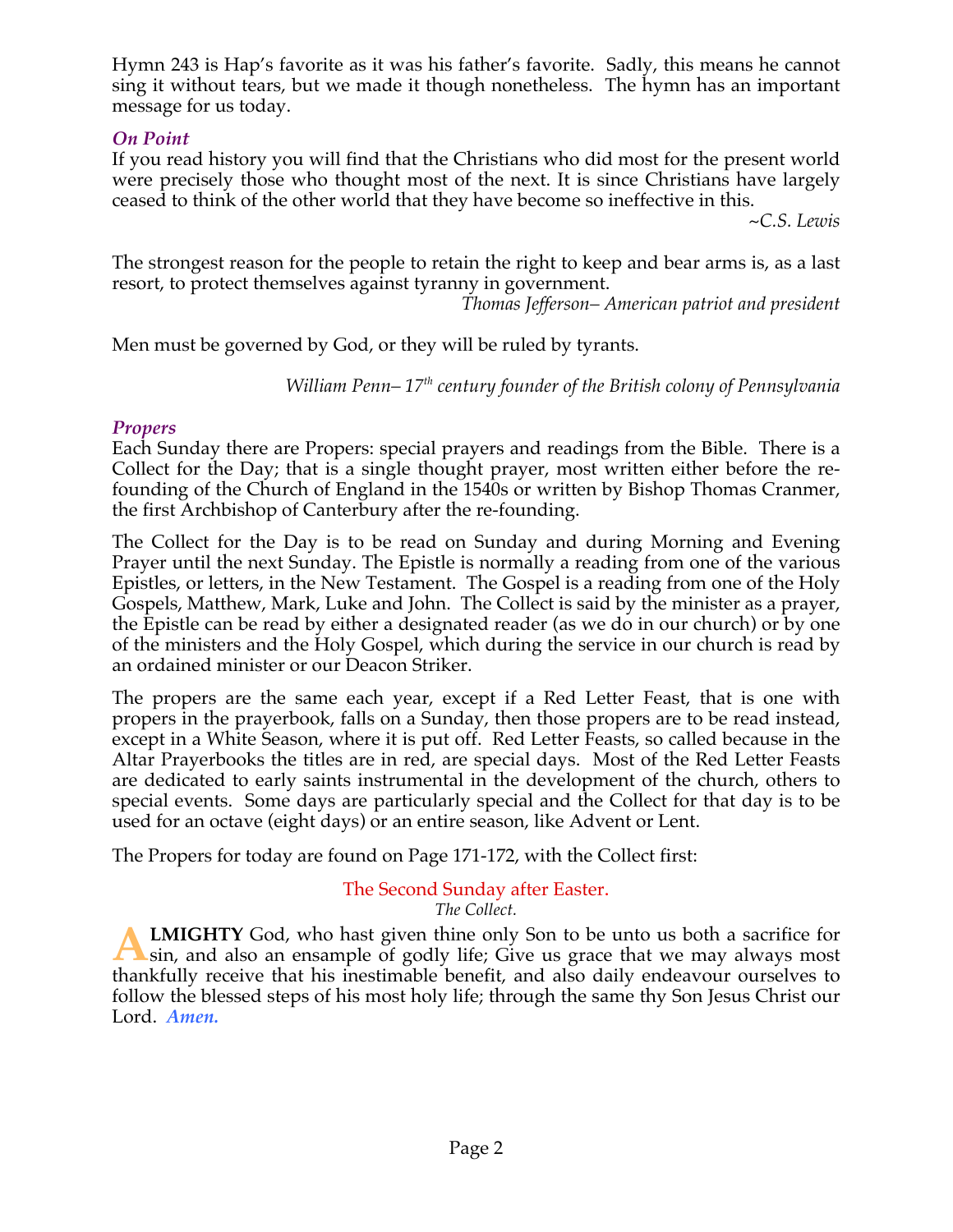Hymn 243 is Hap's favorite as it was his father's favorite. Sadly, this means he cannot sing it without tears, but we made it though nonetheless. The hymn has an important message for us today.

### *On Point*

If you read history you will find that the Christians who did most for the present world were precisely those who thought most of the next. It is since Christians have largely ceased to think of the other world that they have become so ineffective in this.

*~C.S. Lewis* 

The strongest reason for the people to retain the right to keep and bear arms is, as a last resort, to protect themselves against tyranny in government.

*Thomas Jefferson– American patriot and president*

Men must be governed by God, or they will be ruled by tyrants.

*William Penn–*  $17<sup>th</sup>$  century founder of the British colony of Pennsylvania

#### *Propers*

Each Sunday there are Propers: special prayers and readings from the Bible. There is a Collect for the Day; that is a single thought prayer, most written either before the refounding of the Church of England in the 1540s or written by Bishop Thomas Cranmer, the first Archbishop of Canterbury after the re-founding.

The Collect for the Day is to be read on Sunday and during Morning and Evening Prayer until the next Sunday. The Epistle is normally a reading from one of the various Epistles, or letters, in the New Testament. The Gospel is a reading from one of the Holy Gospels, Matthew, Mark, Luke and John. The Collect is said by the minister as a prayer, the Epistle can be read by either a designated reader (as we do in our church) or by one of the ministers and the Holy Gospel, which during the service in our church is read by an ordained minister or our Deacon Striker.

The propers are the same each year, except if a Red Letter Feast, that is one with propers in the prayerbook, falls on a Sunday, then those propers are to be read instead, except in a White Season, where it is put off. Red Letter Feasts, so called because in the Altar Prayerbooks the titles are in red, are special days. Most of the Red Letter Feasts are dedicated to early saints instrumental in the development of the church, others to special events. Some days are particularly special and the Collect for that day is to be used for an octave (eight days) or an entire season, like Advent or Lent.

The Propers for today are found on Page 171-172, with the Collect first:

#### The Second Sunday after Easter. *The Collect.*

**LMIGHTY** God, who hast given thine only Son to be unto us both a sacrifice for **A LMIGHTY** God, who hast given thine only Son to be unto us both a sacrifice for sin, and also an ensample of godly life; Give us grace that we may always most thankfully receive that his inestimable benefit, and also daily endeavour ourselves to follow the blessed steps of his most holy life; through the same thy Son Jesus Christ our Lord. *Amen.*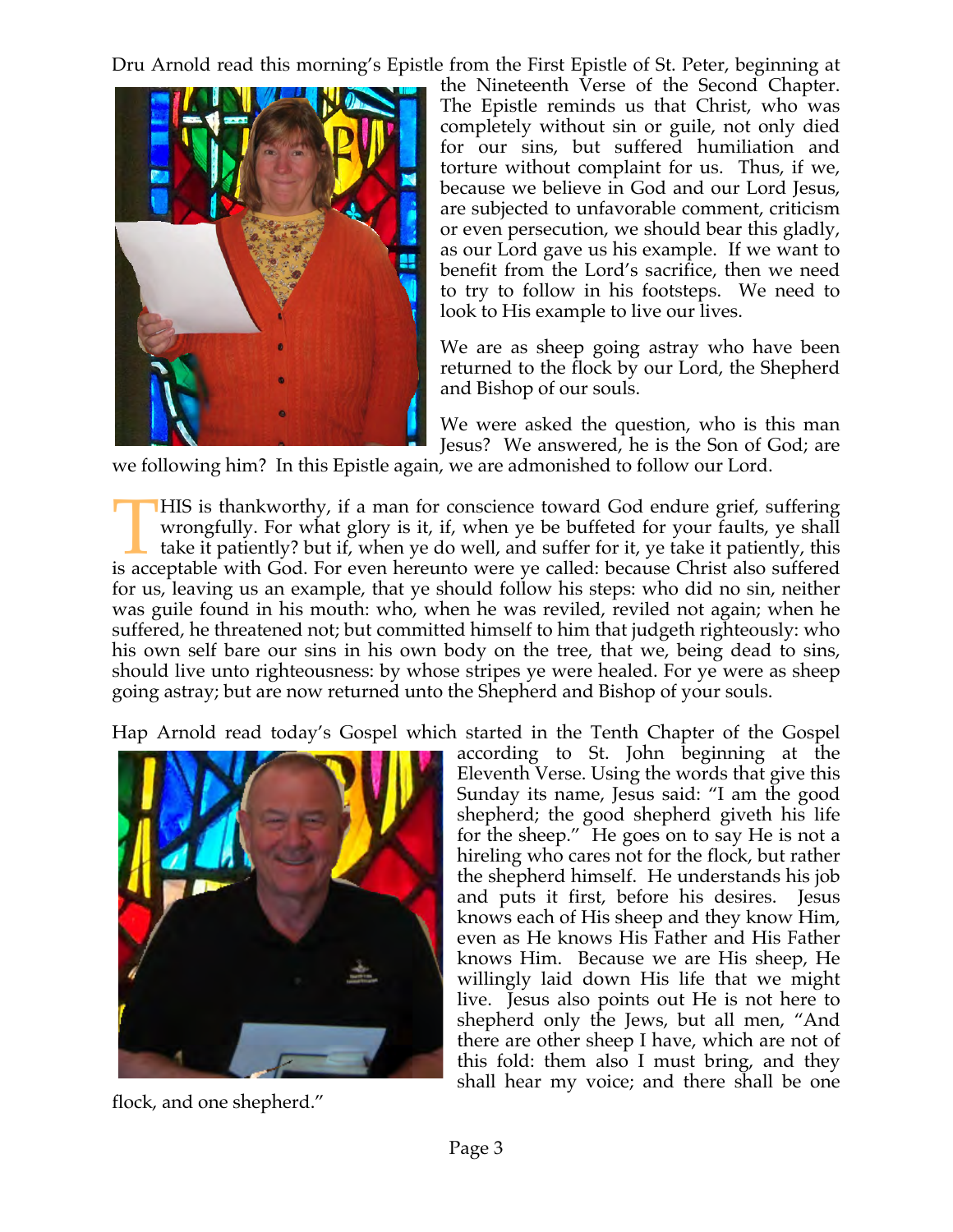Dru Arnold read this morning's Epistle from the First Epistle of St. Peter, beginning at



the Nineteenth Verse of the Second Chapter. The Epistle reminds us that Christ, who was completely without sin or guile, not only died for our sins, but suffered humiliation and torture without complaint for us. Thus, if we, because we believe in God and our Lord Jesus, are subjected to unfavorable comment, criticism or even persecution, we should bear this gladly, as our Lord gave us his example. If we want to benefit from the Lord's sacrifice, then we need to try to follow in his footsteps. We need to look to His example to live our lives.

We are as sheep going astray who have been returned to the flock by our Lord, the Shepherd and Bishop of our souls.

We were asked the question, who is this man Jesus? We answered, he is the Son of God; are

we following him? In this Epistle again, we are admonished to follow our Lord.

HIS is thankworthy, if a man for conscience toward God endure grief, suffering wrongfully. For what glory is it, if, when ye be buffeted for your faults, ye shall take it patiently? but if, when ye do well, and suffer for it, ye take it patiently, this IMIS is thankworthy, if a man for conscience toward God endure grief, suffering wrongfully. For what glory is it, if, when ye be buffeted for your faults, ye shall take it patiently? but if, when ye do well, and suffer for for us, leaving us an example, that ye should follow his steps: who did no sin, neither was guile found in his mouth: who, when he was reviled, reviled not again; when he suffered, he threatened not; but committed himself to him that judgeth righteously: who his own self bare our sins in his own body on the tree, that we, being dead to sins, should live unto righteousness: by whose stripes ye were healed. For ye were as sheep going astray; but are now returned unto the Shepherd and Bishop of your souls.

Hap Arnold read today's Gospel which started in the Tenth Chapter of the Gospel



flock, and one shepherd."

according to St. John beginning at the Eleventh Verse. Using the words that give this Sunday its name, Jesus said: "I am the good shepherd; the good shepherd giveth his life for the sheep." He goes on to say He is not a hireling who cares not for the flock, but rather the shepherd himself. He understands his job and puts it first, before his desires. Jesus knows each of His sheep and they know Him, even as He knows His Father and His Father knows Him. Because we are His sheep, He willingly laid down His life that we might live. Jesus also points out He is not here to shepherd only the Jews, but all men, "And there are other sheep I have, which are not of this fold: them also I must bring, and they shall hear my voice; and there shall be one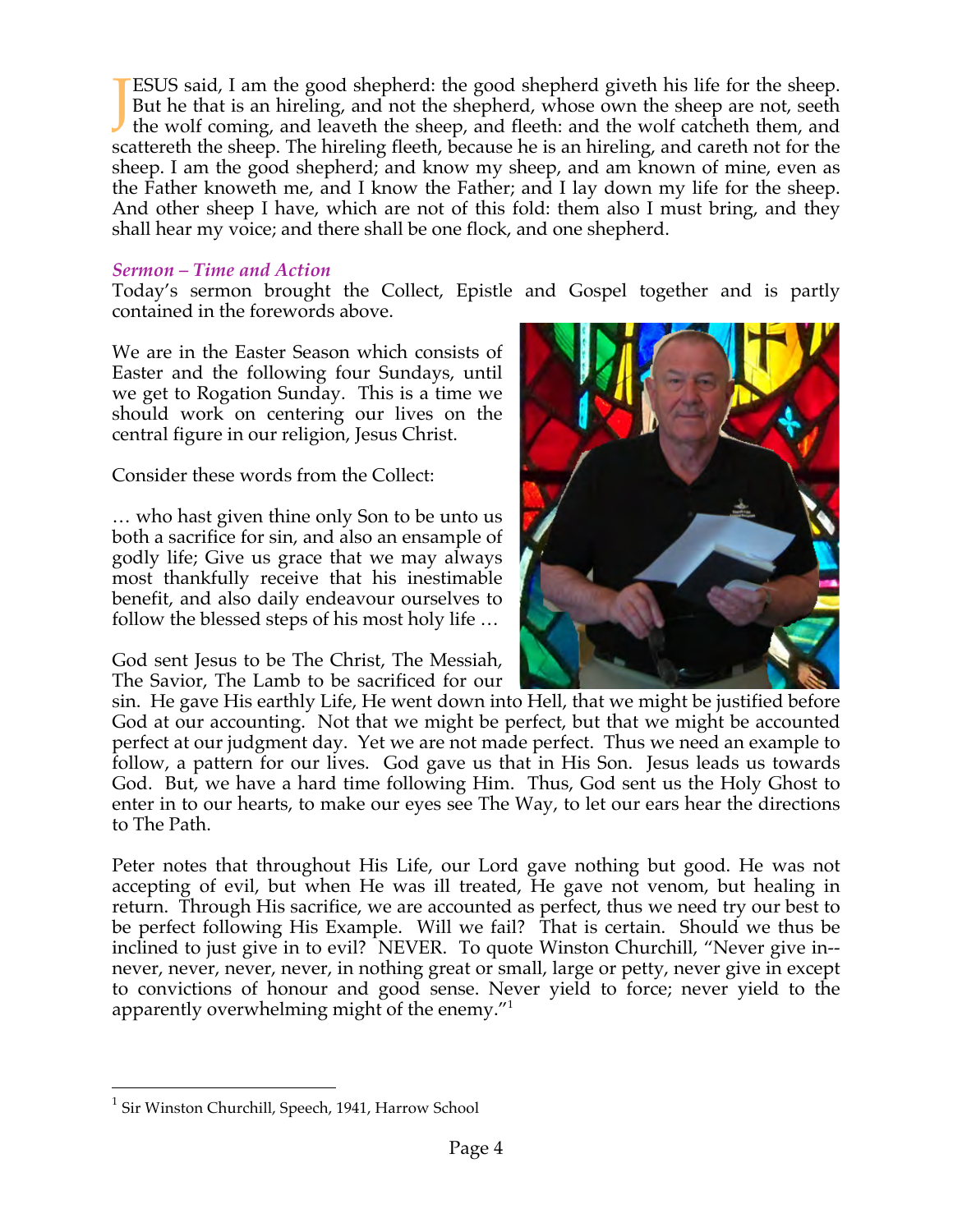ESUS said, I am the good shepherd: the good shepherd giveth his life for the sheep. But he that is an hireling, and not the shepherd, whose own the sheep are not, seeth **TESUS** said, I am the good shepherd: the good shepherd giveth his life for the sheep.<br>But he that is an hireling, and not the shepherd, whose own the sheep are not, seeth<br>the wolf coming, and leaveth the sheep, and fleeth scattereth the sheep. The hireling fleeth, because he is an hireling, and careth not for the sheep. I am the good shepherd; and know my sheep, and am known of mine, even as the Father knoweth me, and I know the Father; and I lay down my life for the sheep. And other sheep I have, which are not of this fold: them also I must bring, and they shall hear my voice; and there shall be one flock, and one shepherd.

#### *Sermon – Time and Action*

Today's sermon brought the Collect, Epistle and Gospel together and is partly contained in the forewords above.

We are in the Easter Season which consists of Easter and the following four Sundays, until we get to Rogation Sunday. This is a time we should work on centering our lives on the central figure in our religion, Jesus Christ.

Consider these words from the Collect:

… who hast given thine only Son to be unto us both a sacrifice for sin, and also an ensample of godly life; Give us grace that we may always most thankfully receive that his inestimable benefit, and also daily endeavour ourselves to follow the blessed steps of his most holy life …

God sent Jesus to be The Christ, The Messiah, The Savior, The Lamb to be sacrificed for our



sin. He gave His earthly Life, He went down into Hell, that we might be justified before God at our accounting. Not that we might be perfect, but that we might be accounted perfect at our judgment day. Yet we are not made perfect. Thus we need an example to follow, a pattern for our lives. God gave us that in His Son. Jesus leads us towards God. But, we have a hard time following Him. Thus, God sent us the Holy Ghost to enter in to our hearts, to make our eyes see The Way, to let our ears hear the directions to The Path.

Peter notes that throughout His Life, our Lord gave nothing but good. He was not accepting of evil, but when He was ill treated, He gave not venom, but healing in return. Through His sacrifice, we are accounted as perfect, thus we need try our best to be perfect following His Example. Will we fail? That is certain. Should we thus be inclined to just give in to evil? NEVER. To quote Winston Churchill, "Never give in- never, never, never, never, in nothing great or small, large or petty, never give in except to convictions of honour and good sense. Never yield to force; never yield to the apparently overwhelming might of the enemy."<sup>1</sup>

<sup>&</sup>lt;sup>1</sup> Sir Winston Churchill, Speech, 1941, Harrow School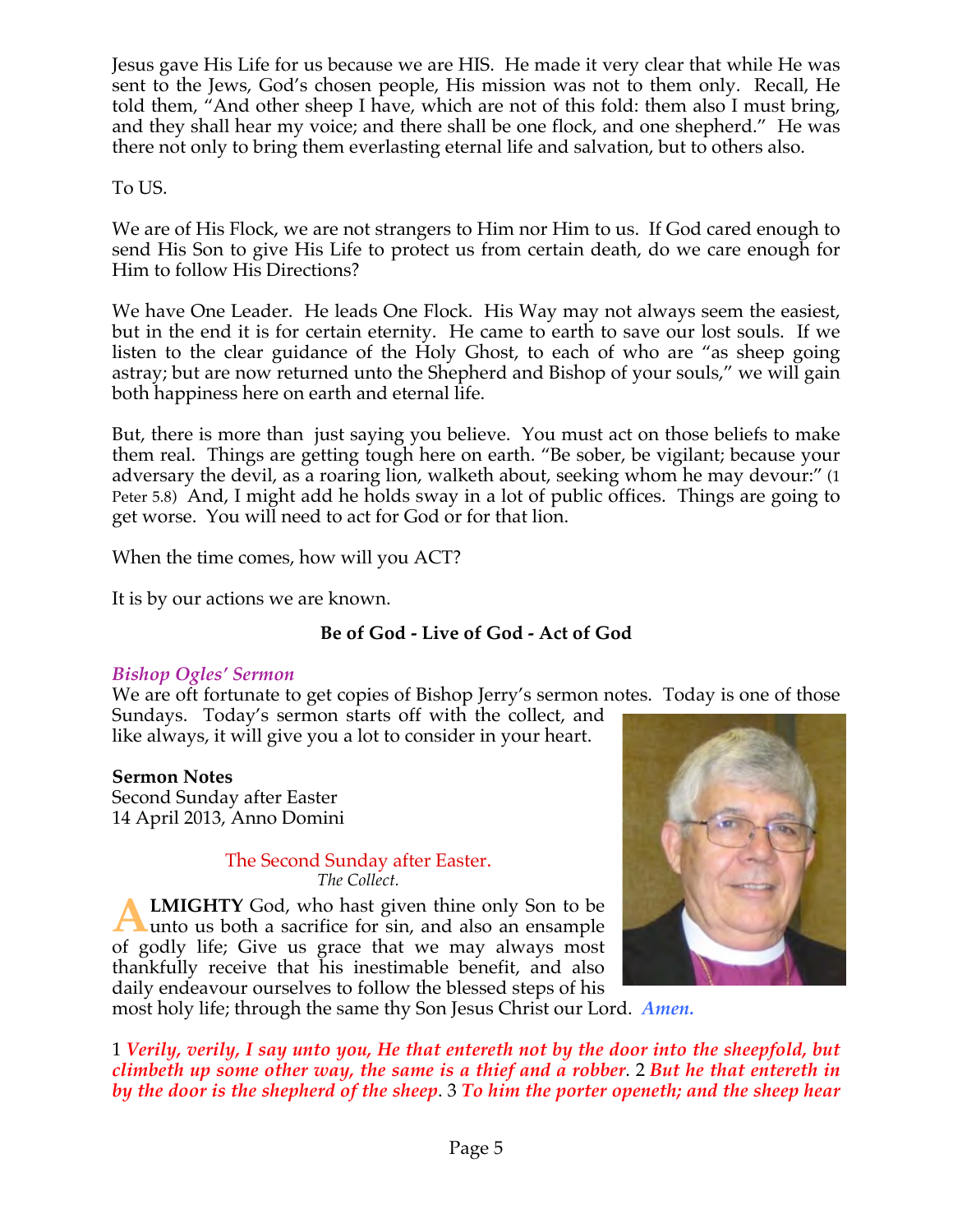Jesus gave His Life for us because we are HIS. He made it very clear that while He was sent to the Jews, God's chosen people, His mission was not to them only. Recall, He told them, "And other sheep I have, which are not of this fold: them also I must bring, and they shall hear my voice; and there shall be one flock, and one shepherd." He was there not only to bring them everlasting eternal life and salvation, but to others also.

### To US.

We are of His Flock, we are not strangers to Him nor Him to us. If God cared enough to send His Son to give His Life to protect us from certain death, do we care enough for Him to follow His Directions?

We have One Leader. He leads One Flock. His Way may not always seem the easiest, but in the end it is for certain eternity. He came to earth to save our lost souls. If we listen to the clear guidance of the Holy Ghost, to each of who are "as sheep going astray; but are now returned unto the Shepherd and Bishop of your souls," we will gain both happiness here on earth and eternal life.

But, there is more than just saying you believe. You must act on those beliefs to make them real. Things are getting tough here on earth. "Be sober, be vigilant; because your adversary the devil, as a roaring lion, walketh about, seeking whom he may devour:" (1 Peter 5.8) And, I might add he holds sway in a lot of public offices. Things are going to get worse. You will need to act for God or for that lion.

When the time comes, how will you ACT?

It is by our actions we are known.

# **Be of God - Live of God - Act of God**

# *Bishop Ogles' Sermon*

We are oft fortunate to get copies of Bishop Jerry's sermon notes. Today is one of those Sundays. Today's sermon starts off with the collect, and

like always, it will give you a lot to consider in your heart.

# **Sermon Notes**

Second Sunday after Easter 14 April 2013, Anno Domini

> The Second Sunday after Easter. *The Collect.*

**LMIGHTY** God, who hast given thine only Son to be **ALMIGHTY** God, who hast given thine only Son to be unto us both a sacrifice for sin, and also an ensample of godly life; Give us grace that we may always most thankfully receive that his inestimable benefit, and also daily endeavour ourselves to follow the blessed steps of his



most holy life; through the same thy Son Jesus Christ our Lord. *Amen.*

1 *Verily, verily, I say unto you, He that entereth not by the door into the sheepfold, but climbeth up some other way, the same is a thief and a robber*. 2 *But he that entereth in by the door is the shepherd of the sheep*. 3 *To him the porter openeth; and the sheep hear*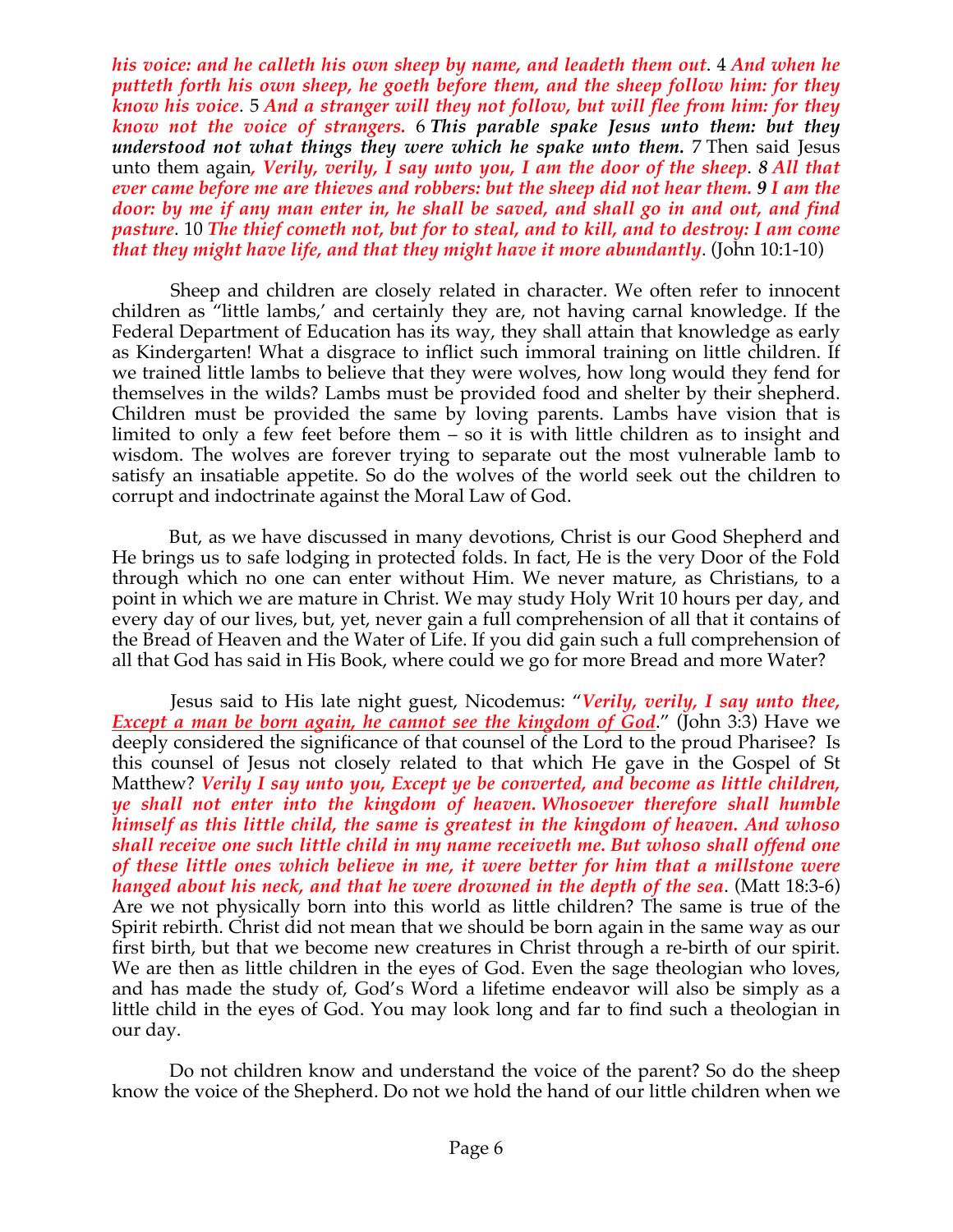*his voice: and he calleth his own sheep by name, and leadeth them out*. 4 *And when he putteth forth his own sheep, he goeth before them, and the sheep follow him: for they know his voice*. 5 *And a stranger will they not follow, but will flee from him: for they know not the voice of strangers.* 6 *This parable spake Jesus unto them: but they understood not what things they were which he spake unto them.* 7 Then said Jesus unto them again*, Verily, verily, I say unto you, I am the door of the sheep*. *8 All that ever came before me are thieves and robbers: but the sheep did not hear them. 9 I am the door: by me if any man enter in, he shall be saved, and shall go in and out, and find pasture*. 10 *The thief cometh not, but for to steal, and to kill, and to destroy: I am come that they might have life, and that they might have it more abundantly*. (John 10:1-10)

 Sheep and children are closely related in character. We often refer to innocent children as "little lambs,' and certainly they are, not having carnal knowledge. If the Federal Department of Education has its way, they shall attain that knowledge as early as Kindergarten! What a disgrace to inflict such immoral training on little children. If we trained little lambs to believe that they were wolves, how long would they fend for themselves in the wilds? Lambs must be provided food and shelter by their shepherd. Children must be provided the same by loving parents. Lambs have vision that is limited to only a few feet before them – so it is with little children as to insight and wisdom. The wolves are forever trying to separate out the most vulnerable lamb to satisfy an insatiable appetite. So do the wolves of the world seek out the children to corrupt and indoctrinate against the Moral Law of God.

 But, as we have discussed in many devotions, Christ is our Good Shepherd and He brings us to safe lodging in protected folds. In fact, He is the very Door of the Fold through which no one can enter without Him. We never mature, as Christians, to a point in which we are mature in Christ. We may study Holy Writ 10 hours per day, and every day of our lives, but, yet, never gain a full comprehension of all that it contains of the Bread of Heaven and the Water of Life. If you did gain such a full comprehension of all that God has said in His Book, where could we go for more Bread and more Water?

 Jesus said to His late night guest, Nicodemus: "*Verily, verily, I say unto thee, Except a man be born again, he cannot see the kingdom of God.***"** (John 3:3) Have we deeply considered the significance of that counsel of the Lord to the proud Pharisee? Is this counsel of Jesus not closely related to that which He gave in the Gospel of St Matthew? *Verily I say unto you, Except ye be converted, and become as little children, ye shall not enter into the kingdom of heaven. Whosoever therefore shall humble himself as this little child, the same is greatest in the kingdom of heaven. And whoso shall receive one such little child in my name receiveth me. But whoso shall offend one of these little ones which believe in me, it were better for him that a millstone were hanged about his neck, and that he were drowned in the depth of the sea*. (Matt 18:3-6) Are we not physically born into this world as little children? The same is true of the Spirit rebirth. Christ did not mean that we should be born again in the same way as our first birth, but that we become new creatures in Christ through a re-birth of our spirit. We are then as little children in the eyes of God. Even the sage theologian who loves, and has made the study of, God's Word a lifetime endeavor will also be simply as a little child in the eyes of God. You may look long and far to find such a theologian in our day.

 Do not children know and understand the voice of the parent? So do the sheep know the voice of the Shepherd. Do not we hold the hand of our little children when we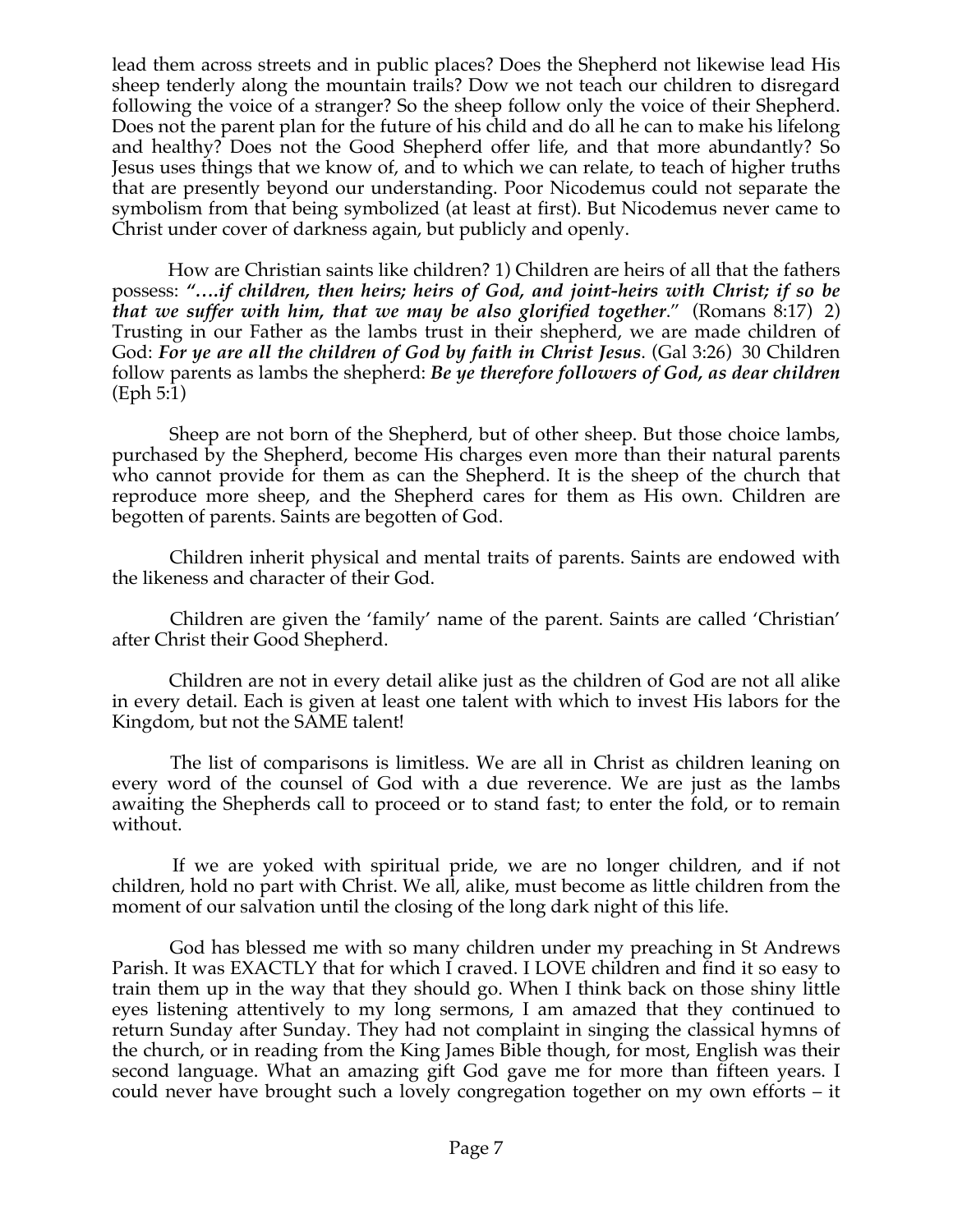lead them across streets and in public places? Does the Shepherd not likewise lead His sheep tenderly along the mountain trails? Dow we not teach our children to disregard following the voice of a stranger? So the sheep follow only the voice of their Shepherd. Does not the parent plan for the future of his child and do all he can to make his lifelong and healthy? Does not the Good Shepherd offer life, and that more abundantly? So Jesus uses things that we know of, and to which we can relate, to teach of higher truths that are presently beyond our understanding. Poor Nicodemus could not separate the symbolism from that being symbolized (at least at first). But Nicodemus never came to Christ under cover of darkness again, but publicly and openly.

 How are Christian saints like children? 1) Children are heirs of all that the fathers possess: *"….if children, then heirs; heirs of God, and joint-heirs with Christ; if so be that we suffer with him, that we may be also glorified together*." (Romans 8:17) 2) Trusting in our Father as the lambs trust in their shepherd, we are made children of God: *For ye are all the children of God by faith in Christ Jesus*. (Gal 3:26) 30 Children follow parents as lambs the shepherd: *Be ye therefore followers of God, as dear children* (Eph 5:1)

 Sheep are not born of the Shepherd, but of other sheep. But those choice lambs, purchased by the Shepherd, become His charges even more than their natural parents who cannot provide for them as can the Shepherd. It is the sheep of the church that reproduce more sheep, and the Shepherd cares for them as His own. Children are begotten of parents. Saints are begotten of God.

 Children inherit physical and mental traits of parents. Saints are endowed with the likeness and character of their God.

 Children are given the 'family' name of the parent. Saints are called 'Christian' after Christ their Good Shepherd.

 Children are not in every detail alike just as the children of God are not all alike in every detail. Each is given at least one talent with which to invest His labors for the Kingdom, but not the SAME talent!

 The list of comparisons is limitless. We are all in Christ as children leaning on every word of the counsel of God with a due reverence. We are just as the lambs awaiting the Shepherds call to proceed or to stand fast; to enter the fold, or to remain without.

 If we are yoked with spiritual pride, we are no longer children, and if not children, hold no part with Christ. We all, alike, must become as little children from the moment of our salvation until the closing of the long dark night of this life.

 God has blessed me with so many children under my preaching in St Andrews Parish. It was EXACTLY that for which I craved. I LOVE children and find it so easy to train them up in the way that they should go. When I think back on those shiny little eyes listening attentively to my long sermons, I am amazed that they continued to return Sunday after Sunday. They had not complaint in singing the classical hymns of the church, or in reading from the King James Bible though, for most, English was their second language. What an amazing gift God gave me for more than fifteen years. I could never have brought such a lovely congregation together on my own efforts – it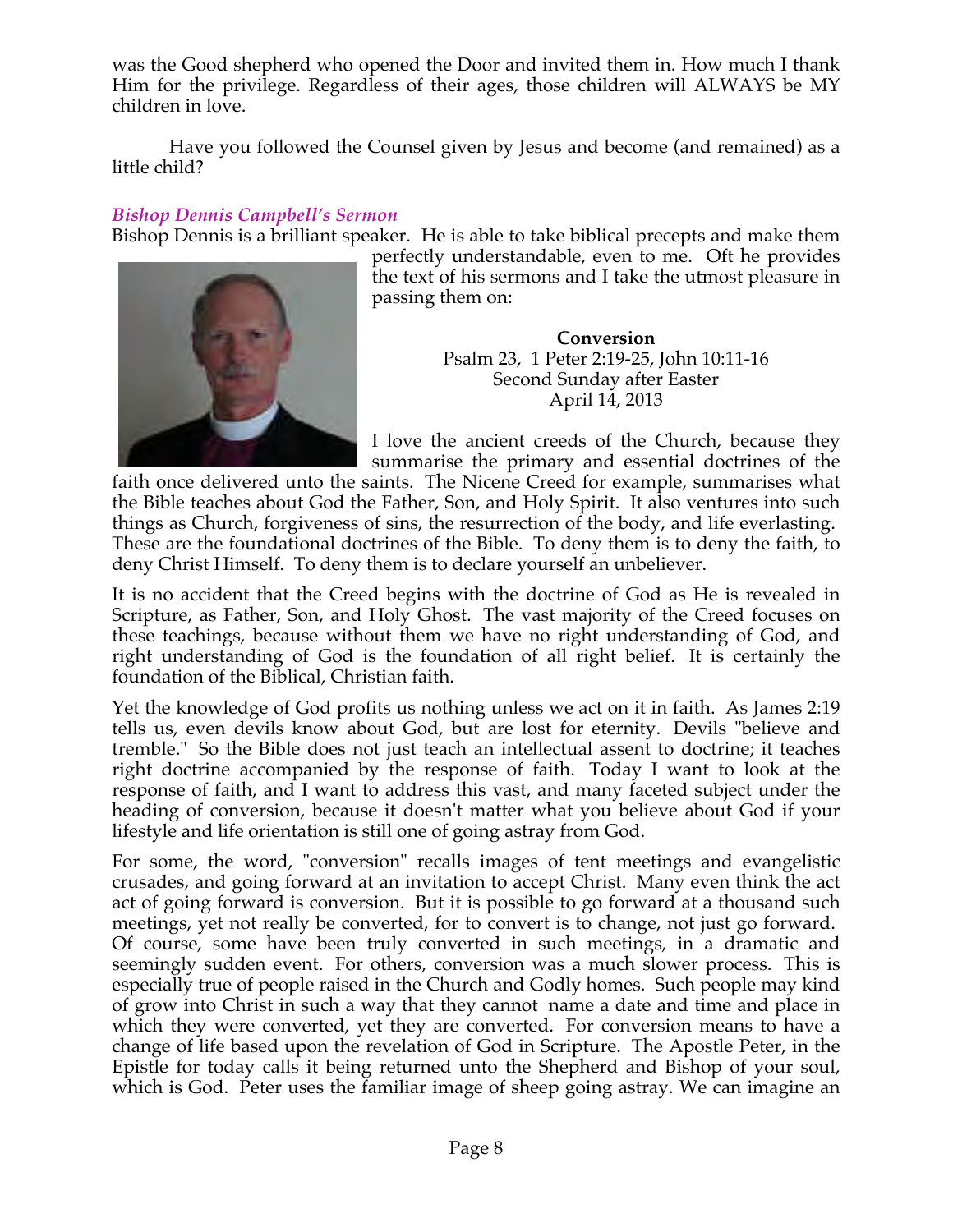was the Good shepherd who opened the Door and invited them in. How much I thank Him for the privilege. Regardless of their ages, those children will ALWAYS be MY children in love.

 Have you followed the Counsel given by Jesus and become (and remained) as a little child?

# *Bishop Dennis Campbell's Sermon*

Bishop Dennis is a brilliant speaker. He is able to take biblical precepts and make them



perfectly understandable, even to me. Oft he provides the text of his sermons and I take the utmost pleasure in passing them on:

> **Conversion** Psalm 23, 1 Peter 2:19-25, John 10:11-16 Second Sunday after Easter April 14, 2013

I love the ancient creeds of the Church, because they summarise the primary and essential doctrines of the

faith once delivered unto the saints. The Nicene Creed for example, summarises what the Bible teaches about God the Father, Son, and Holy Spirit. It also ventures into such things as Church, forgiveness of sins, the resurrection of the body, and life everlasting. These are the foundational doctrines of the Bible. To deny them is to deny the faith, to deny Christ Himself. To deny them is to declare yourself an unbeliever.

It is no accident that the Creed begins with the doctrine of God as He is revealed in Scripture, as Father, Son, and Holy Ghost. The vast majority of the Creed focuses on these teachings, because without them we have no right understanding of God, and right understanding of God is the foundation of all right belief. It is certainly the foundation of the Biblical, Christian faith.

Yet the knowledge of God profits us nothing unless we act on it in faith. As James 2:19 tells us, even devils know about God, but are lost for eternity. Devils "believe and tremble." So the Bible does not just teach an intellectual assent to doctrine; it teaches right doctrine accompanied by the response of faith. Today I want to look at the response of faith, and I want to address this vast, and many faceted subject under the heading of conversion, because it doesn't matter what you believe about God if your lifestyle and life orientation is still one of going astray from God.

For some, the word, "conversion" recalls images of tent meetings and evangelistic crusades, and going forward at an invitation to accept Christ. Many even think the act act of going forward is conversion. But it is possible to go forward at a thousand such meetings, yet not really be converted, for to convert is to change, not just go forward. Of course, some have been truly converted in such meetings, in a dramatic and seemingly sudden event. For others, conversion was a much slower process. This is especially true of people raised in the Church and Godly homes. Such people may kind of grow into Christ in such a way that they cannot name a date and time and place in which they were converted, yet they are converted. For conversion means to have a change of life based upon the revelation of God in Scripture. The Apostle Peter, in the Epistle for today calls it being returned unto the Shepherd and Bishop of your soul, which is God. Peter uses the familiar image of sheep going astray. We can imagine an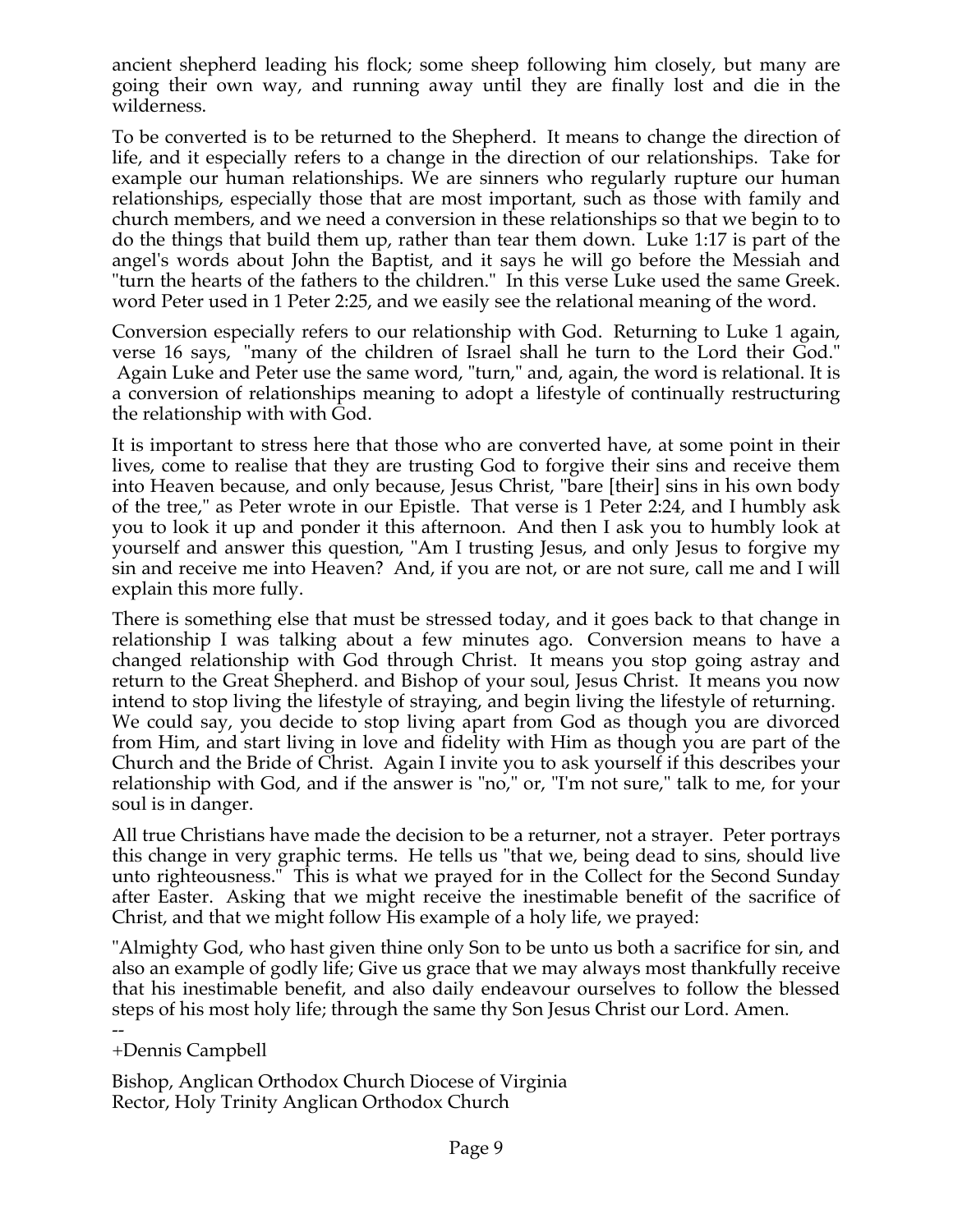ancient shepherd leading his flock; some sheep following him closely, but many are going their own way, and running away until they are finally lost and die in the wilderness.

To be converted is to be returned to the Shepherd. It means to change the direction of life, and it especially refers to a change in the direction of our relationships. Take for example our human relationships. We are sinners who regularly rupture our human relationships, especially those that are most important, such as those with family and church members, and we need a conversion in these relationships so that we begin to to do the things that build them up, rather than tear them down. Luke 1:17 is part of the angel's words about John the Baptist, and it says he will go before the Messiah and "turn the hearts of the fathers to the children." In this verse Luke used the same Greek. word Peter used in 1 Peter 2:25, and we easily see the relational meaning of the word.

Conversion especially refers to our relationship with God. Returning to Luke 1 again, verse 16 says, "many of the children of Israel shall he turn to the Lord their God." Again Luke and Peter use the same word, "turn," and, again, the word is relational. It is a conversion of relationships meaning to adopt a lifestyle of continually restructuring the relationship with with God.

It is important to stress here that those who are converted have, at some point in their lives, come to realise that they are trusting God to forgive their sins and receive them into Heaven because, and only because, Jesus Christ, "bare [their] sins in his own body of the tree," as Peter wrote in our Epistle. That verse is 1 Peter 2:24, and I humbly ask you to look it up and ponder it this afternoon. And then I ask you to humbly look at yourself and answer this question, "Am I trusting Jesus, and only Jesus to forgive my sin and receive me into Heaven? And, if you are not, or are not sure, call me and I will explain this more fully.

There is something else that must be stressed today, and it goes back to that change in relationship I was talking about a few minutes ago. Conversion means to have a changed relationship with God through Christ. It means you stop going astray and return to the Great Shepherd. and Bishop of your soul, Jesus Christ. It means you now intend to stop living the lifestyle of straying, and begin living the lifestyle of returning. We could say, you decide to stop living apart from God as though you are divorced from Him, and start living in love and fidelity with Him as though you are part of the Church and the Bride of Christ. Again I invite you to ask yourself if this describes your relationship with God, and if the answer is "no," or, "I'm not sure," talk to me, for your soul is in danger.

All true Christians have made the decision to be a returner, not a strayer. Peter portrays this change in very graphic terms. He tells us "that we, being dead to sins, should live unto righteousness." This is what we prayed for in the Collect for the Second Sunday after Easter. Asking that we might receive the inestimable benefit of the sacrifice of Christ, and that we might follow His example of a holy life, we prayed:

"Almighty God, who hast given thine only Son to be unto us both a sacrifice for sin, and also an example of godly life; Give us grace that we may always most thankfully receive that his inestimable benefit, and also daily endeavour ourselves to follow the blessed steps of his most holy life; through the same thy Son Jesus Christ our Lord. Amen.

-- +Dennis Campbell

Bishop, Anglican Orthodox Church Diocese of Virginia Rector, Holy Trinity Anglican Orthodox Church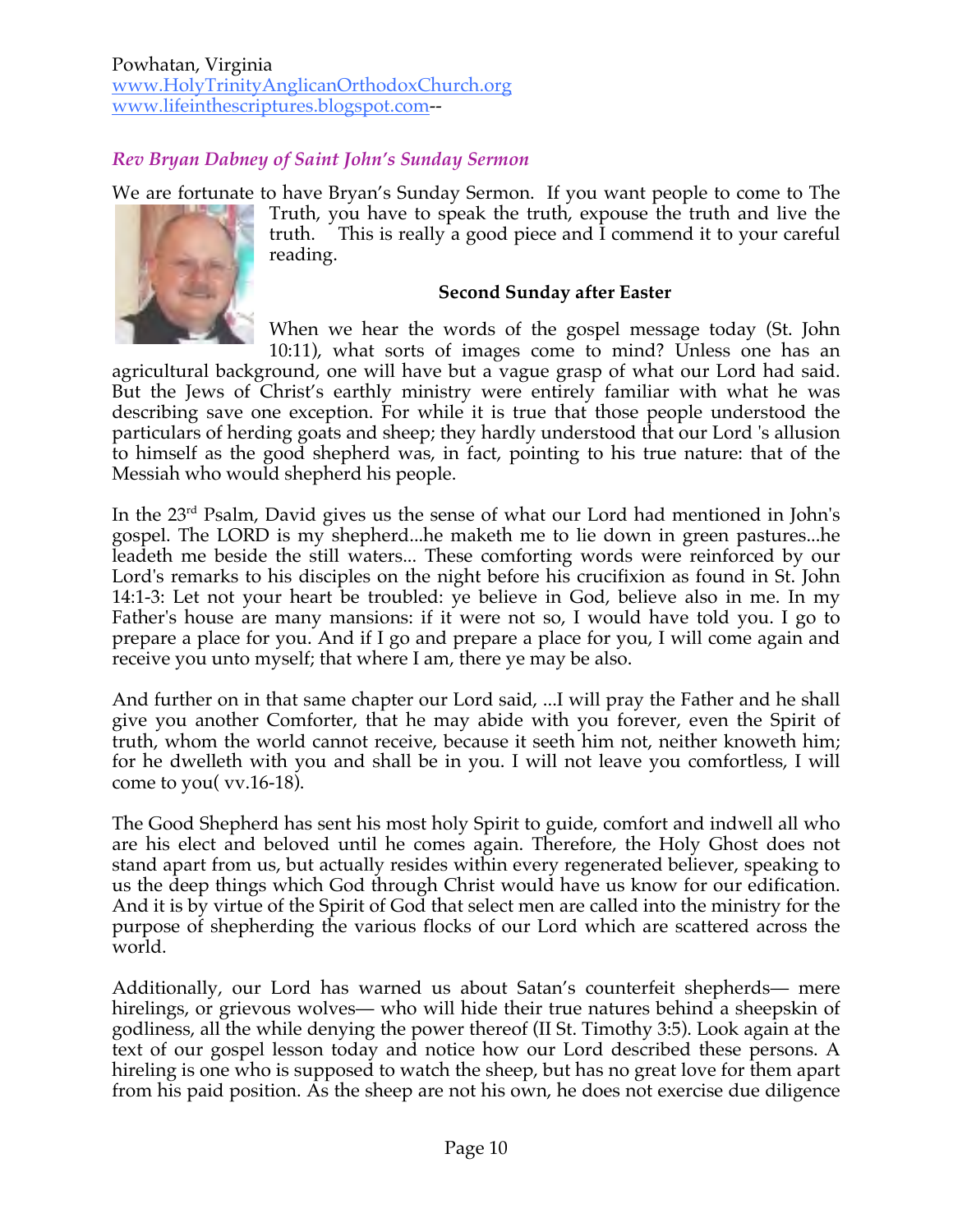Powhatan, Virginia www.HolyTrinityAnglicanOrthodoxChurch.org www.lifeinthescriptures.blogspot.com--

# *Rev Bryan Dabney of Saint John's Sunday Sermon*

We are fortunate to have Bryan's Sunday Sermon. If you want people to come to The Truth, you have to speak the truth, expouse the truth and live the truth. This is really a good piece and I commend it to your careful reading.

#### **Second Sunday after Easter**

When we hear the words of the gospel message today (St. John 10:11), what sorts of images come to mind? Unless one has an

agricultural background, one will have but a vague grasp of what our Lord had said. But the Jews of Christ's earthly ministry were entirely familiar with what he was describing save one exception. For while it is true that those people understood the particulars of herding goats and sheep; they hardly understood that our Lord 's allusion to himself as the good shepherd was, in fact, pointing to his true nature: that of the Messiah who would shepherd his people.

In the 23rd Psalm, David gives us the sense of what our Lord had mentioned in John's gospel. The LORD is my shepherd...he maketh me to lie down in green pastures...he leadeth me beside the still waters... These comforting words were reinforced by our Lord's remarks to his disciples on the night before his crucifixion as found in St. John 14:1-3: Let not your heart be troubled: ye believe in God, believe also in me. In my Father's house are many mansions: if it were not so, I would have told you. I go to prepare a place for you. And if I go and prepare a place for you, I will come again and receive you unto myself; that where I am, there ye may be also.

And further on in that same chapter our Lord said, ...I will pray the Father and he shall give you another Comforter, that he may abide with you forever, even the Spirit of truth, whom the world cannot receive, because it seeth him not, neither knoweth him; for he dwelleth with you and shall be in you. I will not leave you comfortless, I will come to you( vv.16-18).

The Good Shepherd has sent his most holy Spirit to guide, comfort and indwell all who are his elect and beloved until he comes again. Therefore, the Holy Ghost does not stand apart from us, but actually resides within every regenerated believer, speaking to us the deep things which God through Christ would have us know for our edification. And it is by virtue of the Spirit of God that select men are called into the ministry for the purpose of shepherding the various flocks of our Lord which are scattered across the world.

Additionally, our Lord has warned us about Satan's counterfeit shepherds— mere hirelings, or grievous wolves— who will hide their true natures behind a sheepskin of godliness, all the while denying the power thereof (II St. Timothy 3:5). Look again at the text of our gospel lesson today and notice how our Lord described these persons. A hireling is one who is supposed to watch the sheep, but has no great love for them apart from his paid position. As the sheep are not his own, he does not exercise due diligence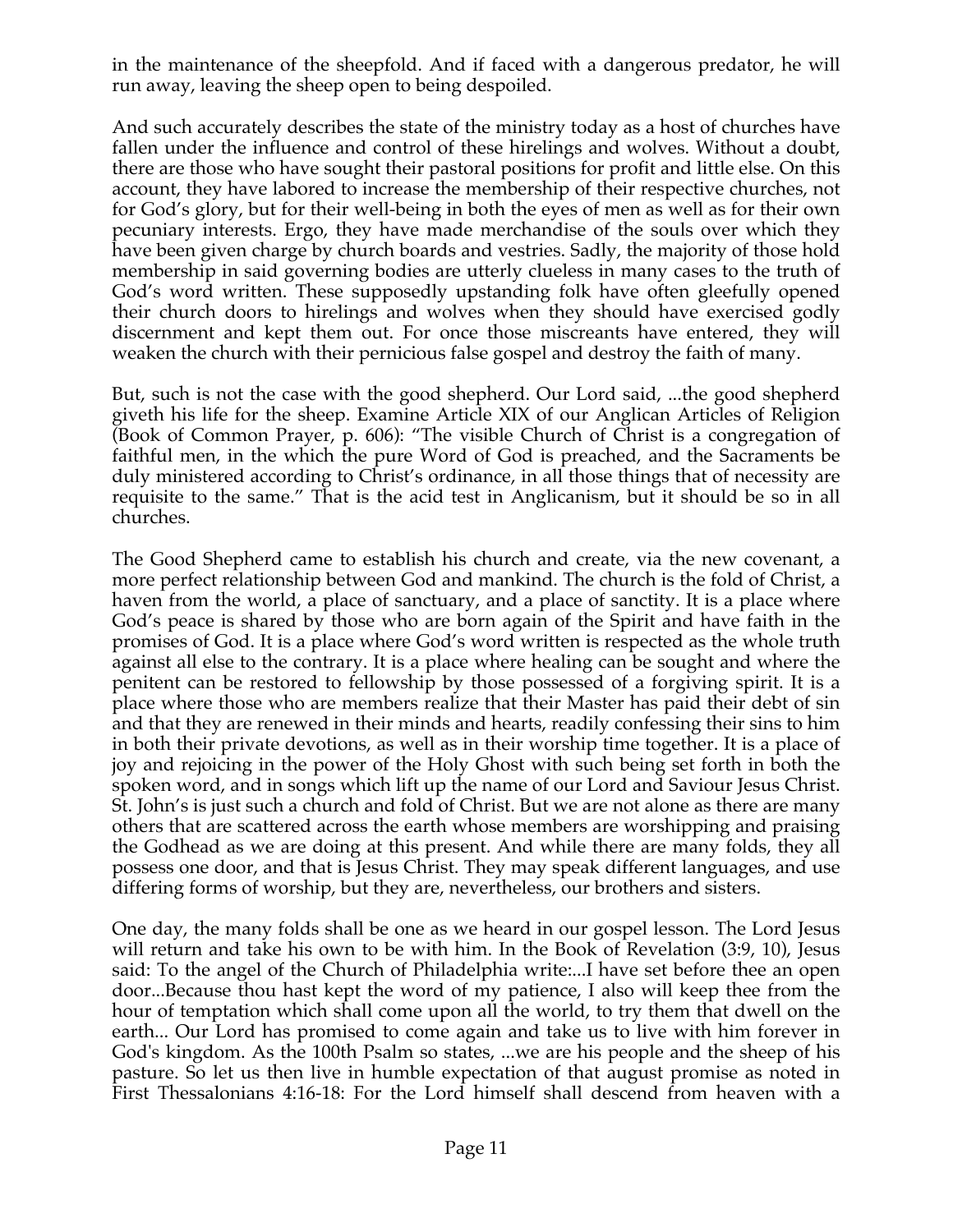in the maintenance of the sheepfold. And if faced with a dangerous predator, he will run away, leaving the sheep open to being despoiled.

And such accurately describes the state of the ministry today as a host of churches have fallen under the influence and control of these hirelings and wolves. Without a doubt, there are those who have sought their pastoral positions for profit and little else. On this account, they have labored to increase the membership of their respective churches, not for God's glory, but for their well-being in both the eyes of men as well as for their own pecuniary interests. Ergo, they have made merchandise of the souls over which they have been given charge by church boards and vestries. Sadly, the majority of those hold membership in said governing bodies are utterly clueless in many cases to the truth of God's word written. These supposedly upstanding folk have often gleefully opened their church doors to hirelings and wolves when they should have exercised godly discernment and kept them out. For once those miscreants have entered, they will weaken the church with their pernicious false gospel and destroy the faith of many.

But, such is not the case with the good shepherd. Our Lord said, ...the good shepherd giveth his life for the sheep. Examine Article XIX of our Anglican Articles of Religion (Book of Common Prayer, p. 606): "The visible Church of Christ is a congregation of faithful men, in the which the pure Word of God is preached, and the Sacraments be duly ministered according to Christ's ordinance, in all those things that of necessity are requisite to the same." That is the acid test in Anglicanism, but it should be so in all churches.

The Good Shepherd came to establish his church and create, via the new covenant, a more perfect relationship between God and mankind. The church is the fold of Christ, a haven from the world, a place of sanctuary, and a place of sanctity. It is a place where God's peace is shared by those who are born again of the Spirit and have faith in the promises of God. It is a place where God's word written is respected as the whole truth against all else to the contrary. It is a place where healing can be sought and where the penitent can be restored to fellowship by those possessed of a forgiving spirit. It is a place where those who are members realize that their Master has paid their debt of sin and that they are renewed in their minds and hearts, readily confessing their sins to him in both their private devotions, as well as in their worship time together. It is a place of joy and rejoicing in the power of the Holy Ghost with such being set forth in both the spoken word, and in songs which lift up the name of our Lord and Saviour Jesus Christ. St. John's is just such a church and fold of Christ. But we are not alone as there are many others that are scattered across the earth whose members are worshipping and praising the Godhead as we are doing at this present. And while there are many folds, they all possess one door, and that is Jesus Christ. They may speak different languages, and use differing forms of worship, but they are, nevertheless, our brothers and sisters.

One day, the many folds shall be one as we heard in our gospel lesson. The Lord Jesus will return and take his own to be with him. In the Book of Revelation (3:9, 10), Jesus said: To the angel of the Church of Philadelphia write:...I have set before thee an open door...Because thou hast kept the word of my patience, I also will keep thee from the hour of temptation which shall come upon all the world, to try them that dwell on the earth... Our Lord has promised to come again and take us to live with him forever in God's kingdom. As the 100th Psalm so states, ...we are his people and the sheep of his pasture. So let us then live in humble expectation of that august promise as noted in First Thessalonians 4:16-18: For the Lord himself shall descend from heaven with a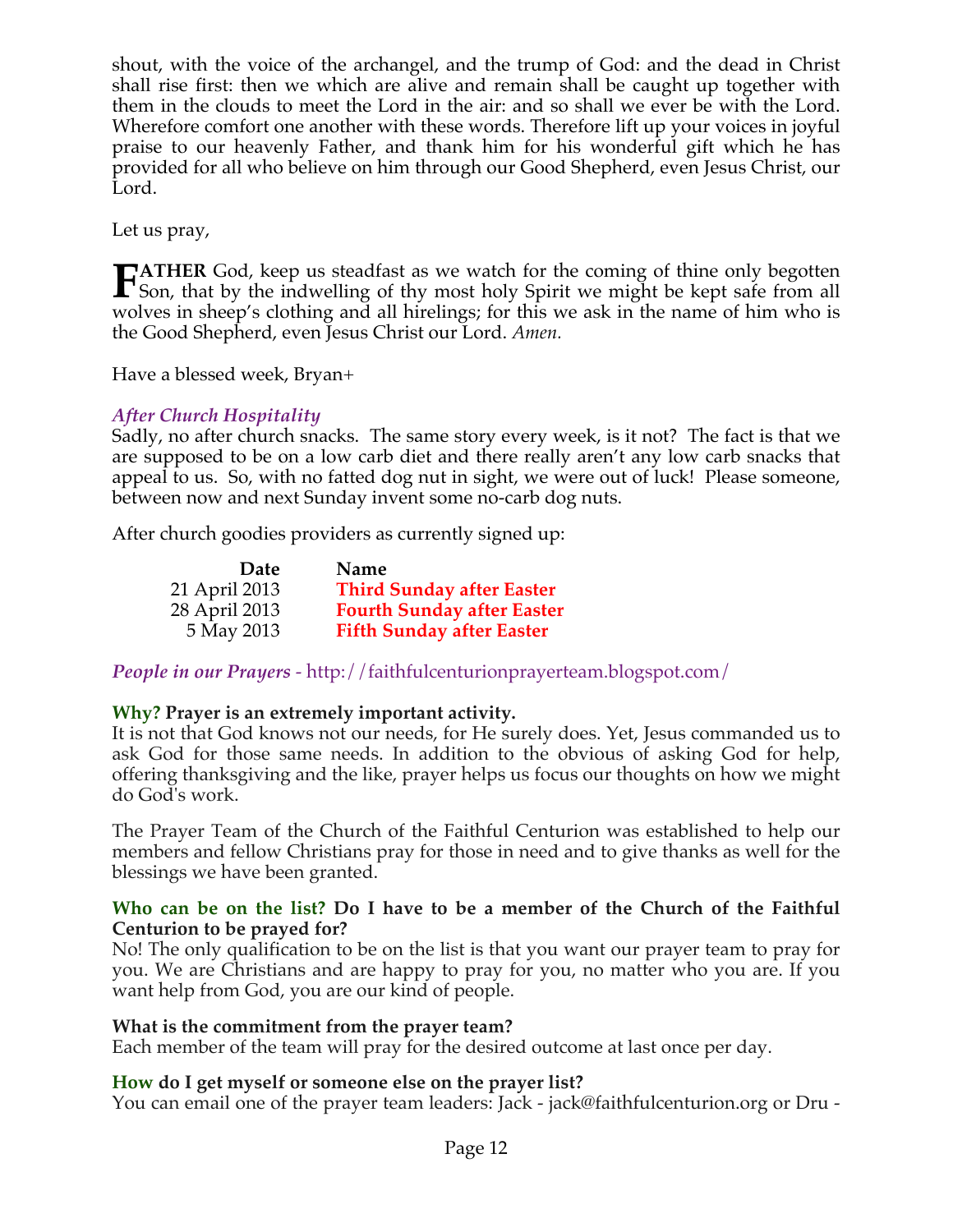shout, with the voice of the archangel, and the trump of God: and the dead in Christ shall rise first: then we which are alive and remain shall be caught up together with them in the clouds to meet the Lord in the air: and so shall we ever be with the Lord. Wherefore comfort one another with these words. Therefore lift up your voices in joyful praise to our heavenly Father, and thank him for his wonderful gift which he has provided for all who believe on him through our Good Shepherd, even Jesus Christ, our Lord.

Let us pray,

**ATHER** God, keep us steadfast as we watch for the coming of thine only begotten **FATHER** God, keep us steadfast as we watch for the coming of thine only begotten Son, that by the indwelling of thy most holy Spirit we might be kept safe from all  $\frac{1}{2}$ wolves in sheep's clothing and all hirelings; for this we ask in the name of him who is the Good Shepherd, even Jesus Christ our Lord. *Amen.* 

Have a blessed week, Bryan+

# *After Church Hospitality*

Sadly, no after church snacks. The same story every week, is it not? The fact is that we are supposed to be on a low carb diet and there really aren't any low carb snacks that appeal to us. So, with no fatted dog nut in sight, we were out of luck! Please someone, between now and next Sunday invent some no-carb dog nuts.

After church goodies providers as currently signed up:

| Date          | Name                              |
|---------------|-----------------------------------|
| 21 April 2013 | <b>Third Sunday after Easter</b>  |
| 28 April 2013 | <b>Fourth Sunday after Easter</b> |
| 5 May 2013    | <b>Fifth Sunday after Easter</b>  |

*People in our Prayers* - http://faithfulcenturionprayerteam.blogspot.com/

# **Why? Prayer is an extremely important activity.**

It is not that God knows not our needs, for He surely does. Yet, Jesus commanded us to ask God for those same needs. In addition to the obvious of asking God for help, offering thanksgiving and the like, prayer helps us focus our thoughts on how we might do God's work.

The Prayer Team of the Church of the Faithful Centurion was established to help our members and fellow Christians pray for those in need and to give thanks as well for the blessings we have been granted.

#### **Who can be on the list? Do I have to be a member of the Church of the Faithful Centurion to be prayed for?**

No! The only qualification to be on the list is that you want our prayer team to pray for you. We are Christians and are happy to pray for you, no matter who you are. If you want help from God, you are our kind of people.

#### **What is the commitment from the prayer team?**

Each member of the team will pray for the desired outcome at last once per day.

# **How do I get myself or someone else on the prayer list?**

You can email one of the prayer team leaders: Jack - jack@faithfulcenturion.org or Dru -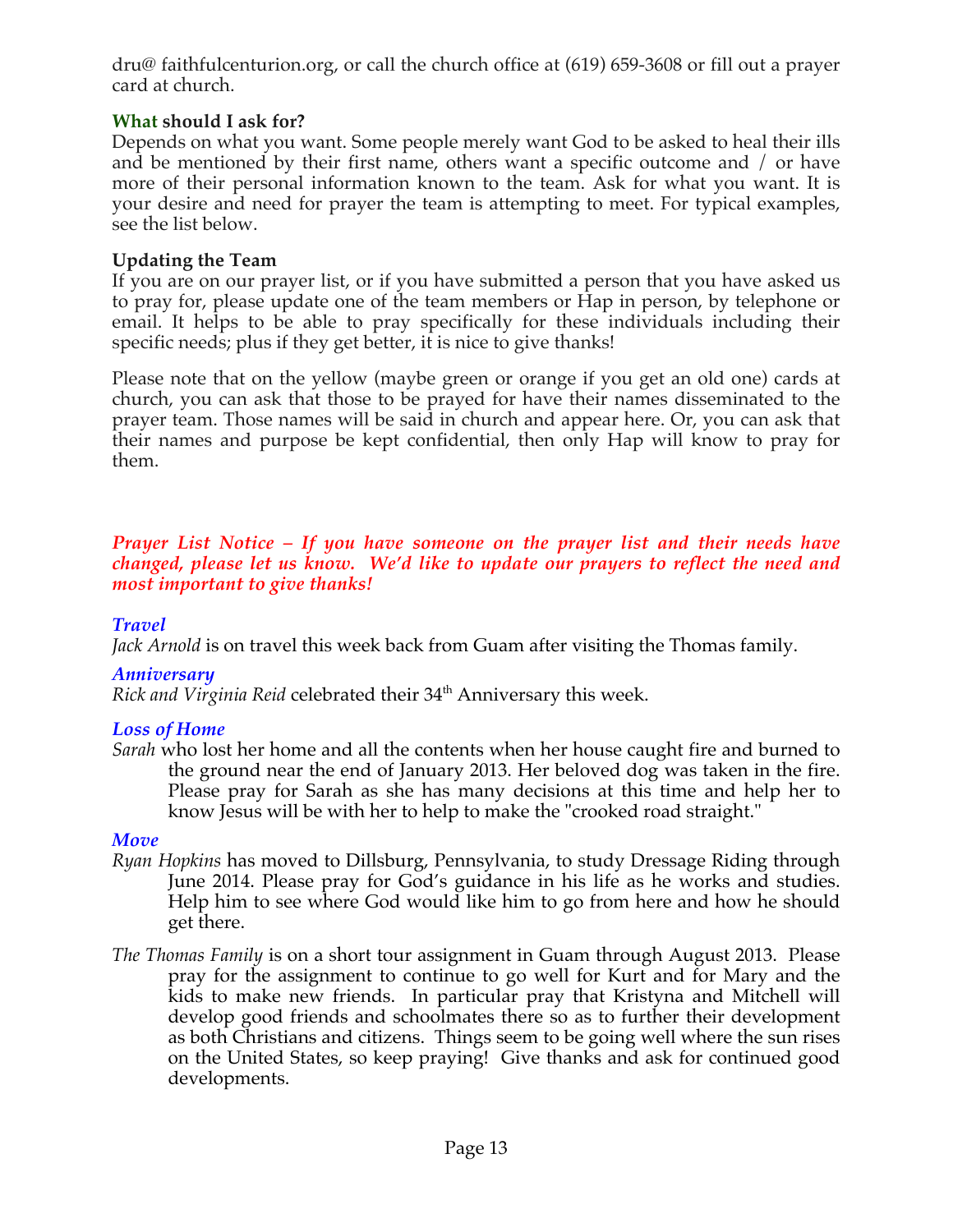dru@ faithfulcenturion.org, or call the church office at (619) 659-3608 or fill out a prayer card at church.

# **What should I ask for?**

Depends on what you want. Some people merely want God to be asked to heal their ills and be mentioned by their first name, others want a specific outcome and / or have more of their personal information known to the team. Ask for what you want. It is your desire and need for prayer the team is attempting to meet. For typical examples, see the list below.

# **Updating the Team**

If you are on our prayer list, or if you have submitted a person that you have asked us to pray for, please update one of the team members or Hap in person, by telephone or email. It helps to be able to pray specifically for these individuals including their specific needs; plus if they get better, it is nice to give thanks!

Please note that on the yellow (maybe green or orange if you get an old one) cards at church, you can ask that those to be prayed for have their names disseminated to the prayer team. Those names will be said in church and appear here. Or, you can ask that their names and purpose be kept confidential, then only Hap will know to pray for them.

### *Prayer List Notice – If you have someone on the prayer list and their needs have changed, please let us know. We'd like to update our prayers to reflect the need and most important to give thanks!*

# *Travel*

*Jack Arnold* is on travel this week back from Guam after visiting the Thomas family.

# *Anniversary*

*Rick and Virginia Reid celebrated their* 34<sup>th</sup> Anniversary this week.

# *Loss of Home*

*Sarah* who lost her home and all the contents when her house caught fire and burned to the ground near the end of January 2013. Her beloved dog was taken in the fire. Please pray for Sarah as she has many decisions at this time and help her to know Jesus will be with her to help to make the "crooked road straight."

# *Move*

- *Ryan Hopkins* has moved to Dillsburg, Pennsylvania, to study Dressage Riding through June 2014. Please pray for God's guidance in his life as he works and studies. Help him to see where God would like him to go from here and how he should get there.
- *The Thomas Family* is on a short tour assignment in Guam through August 2013. Please pray for the assignment to continue to go well for Kurt and for Mary and the kids to make new friends. In particular pray that Kristyna and Mitchell will develop good friends and schoolmates there so as to further their development as both Christians and citizens. Things seem to be going well where the sun rises on the United States, so keep praying! Give thanks and ask for continued good developments.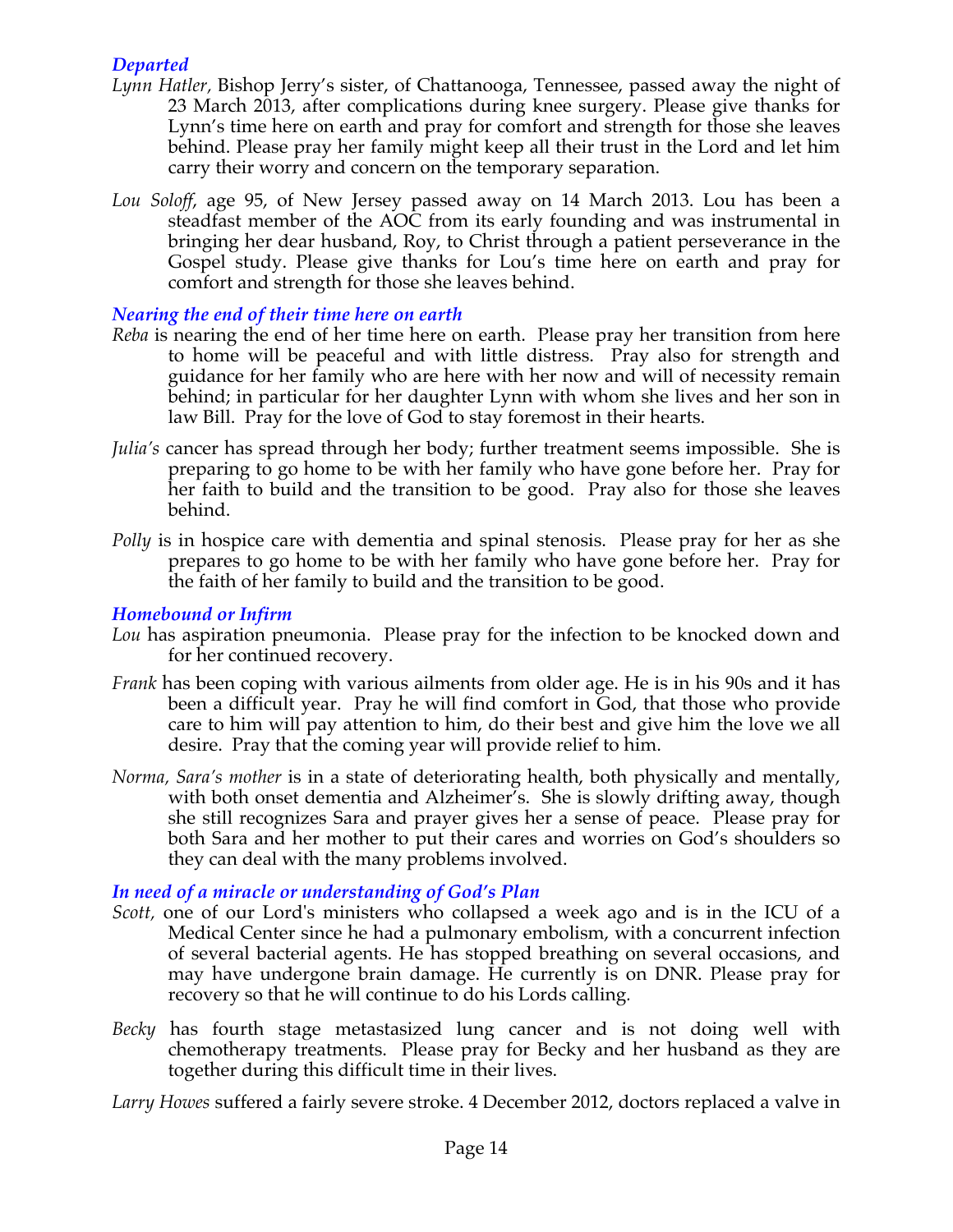# *Departed*

- *Lynn Hatler,* Bishop Jerry's sister, of Chattanooga, Tennessee, passed away the night of 23 March 2013, after complications during knee surgery. Please give thanks for Lynn's time here on earth and pray for comfort and strength for those she leaves behind. Please pray her family might keep all their trust in the Lord and let him carry their worry and concern on the temporary separation.
- *Lou Soloff*, age 95, of New Jersey passed away on 14 March 2013. Lou has been a steadfast member of the AOC from its early founding and was instrumental in bringing her dear husband, Roy, to Christ through a patient perseverance in the Gospel study. Please give thanks for Lou's time here on earth and pray for comfort and strength for those she leaves behind.

### *Nearing the end of their time here on earth*

- *Reba* is nearing the end of her time here on earth. Please pray her transition from here to home will be peaceful and with little distress. Pray also for strength and guidance for her family who are here with her now and will of necessity remain behind; in particular for her daughter Lynn with whom she lives and her son in law Bill. Pray for the love of God to stay foremost in their hearts.
- *Julia's* cancer has spread through her body; further treatment seems impossible. She is preparing to go home to be with her family who have gone before her. Pray for her faith to build and the transition to be good. Pray also for those she leaves behind.
- *Polly* is in hospice care with dementia and spinal stenosis. Please pray for her as she prepares to go home to be with her family who have gone before her. Pray for the faith of her family to build and the transition to be good.

#### *Homebound or Infirm*

- *Lou* has aspiration pneumonia. Please pray for the infection to be knocked down and for her continued recovery.
- *Frank* has been coping with various ailments from older age. He is in his 90s and it has been a difficult year. Pray he will find comfort in God, that those who provide care to him will pay attention to him, do their best and give him the love we all desire. Pray that the coming year will provide relief to him.
- *Norma, Sara's mother* is in a state of deteriorating health, both physically and mentally, with both onset dementia and Alzheimer's. She is slowly drifting away, though she still recognizes Sara and prayer gives her a sense of peace. Please pray for both Sara and her mother to put their cares and worries on God's shoulders so they can deal with the many problems involved.

# *In need of a miracle or understanding of God's Plan*

- *Scott,* one of our Lord's ministers who collapsed a week ago and is in the ICU of a Medical Center since he had a pulmonary embolism, with a concurrent infection of several bacterial agents. He has stopped breathing on several occasions, and may have undergone brain damage. He currently is on DNR. Please pray for recovery so that he will continue to do his Lords calling*.*
- *Becky* has fourth stage metastasized lung cancer and is not doing well with chemotherapy treatments. Please pray for Becky and her husband as they are together during this difficult time in their lives.

*Larry Howes* suffered a fairly severe stroke. 4 December 2012, doctors replaced a valve in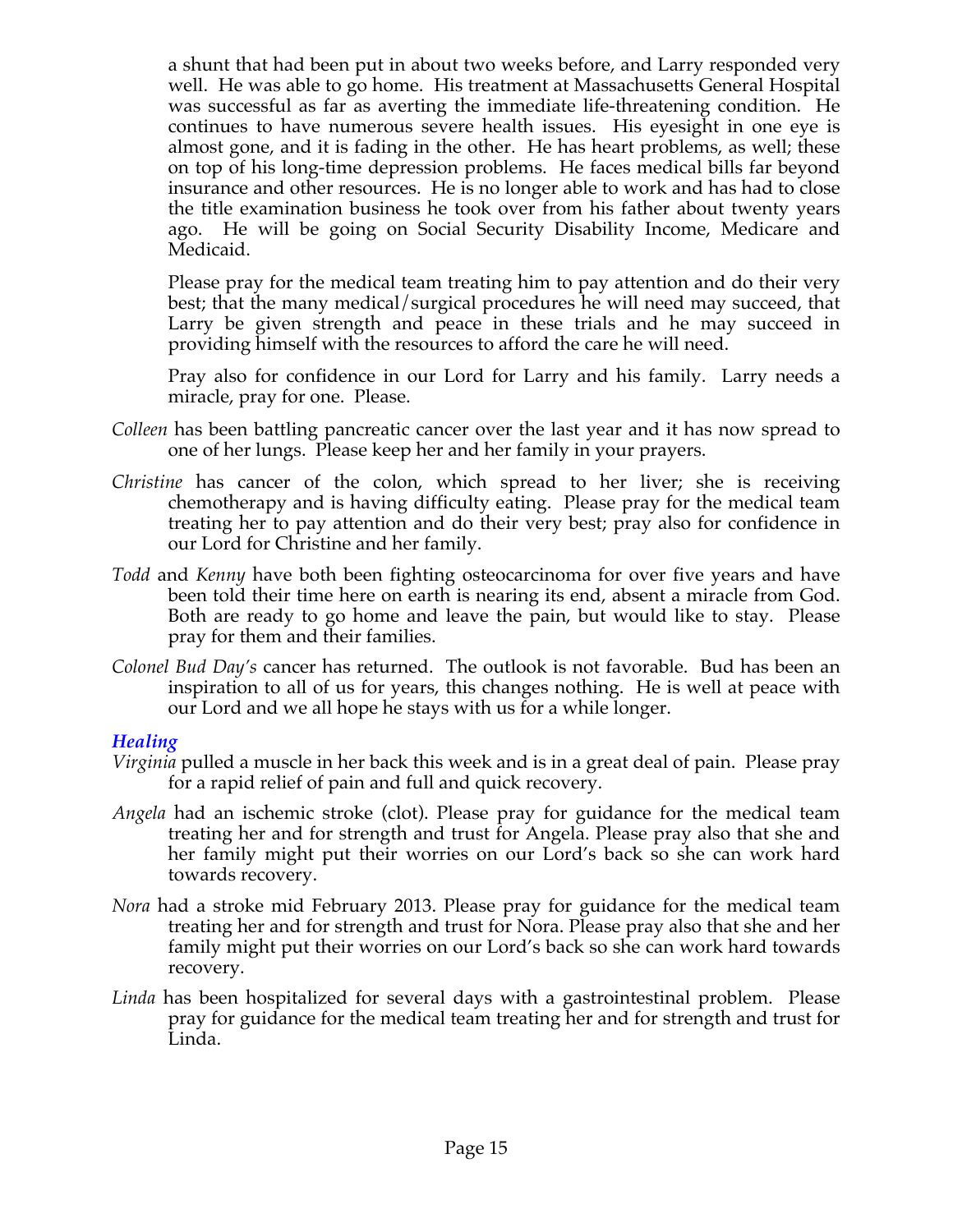a shunt that had been put in about two weeks before, and Larry responded very well. He was able to go home. His treatment at Massachusetts General Hospital was successful as far as averting the immediate life-threatening condition. He continues to have numerous severe health issues. His eyesight in one eye is almost gone, and it is fading in the other. He has heart problems, as well; these on top of his long-time depression problems. He faces medical bills far beyond insurance and other resources. He is no longer able to work and has had to close the title examination business he took over from his father about twenty years ago. He will be going on Social Security Disability Income, Medicare and Medicaid.

Please pray for the medical team treating him to pay attention and do their very best; that the many medical/surgical procedures he will need may succeed, that Larry be given strength and peace in these trials and he may succeed in providing himself with the resources to afford the care he will need.

Pray also for confidence in our Lord for Larry and his family. Larry needs a miracle, pray for one. Please.

- *Colleen* has been battling pancreatic cancer over the last year and it has now spread to one of her lungs. Please keep her and her family in your prayers.
- *Christine* has cancer of the colon, which spread to her liver; she is receiving chemotherapy and is having difficulty eating. Please pray for the medical team treating her to pay attention and do their very best; pray also for confidence in our Lord for Christine and her family.
- *Todd* and *Kenny* have both been fighting osteocarcinoma for over five years and have been told their time here on earth is nearing its end, absent a miracle from God. Both are ready to go home and leave the pain, but would like to stay. Please pray for them and their families.
- *Colonel Bud Day's* cancer has returned. The outlook is not favorable. Bud has been an inspiration to all of us for years, this changes nothing. He is well at peace with our Lord and we all hope he stays with us for a while longer.

#### *Healing*

- *Virginia* pulled a muscle in her back this week and is in a great deal of pain. Please pray for a rapid relief of pain and full and quick recovery.
- *Angela* had an ischemic stroke (clot). Please pray for guidance for the medical team treating her and for strength and trust for Angela. Please pray also that she and her family might put their worries on our Lord's back so she can work hard towards recovery.
- *Nora* had a stroke mid February 2013. Please pray for guidance for the medical team treating her and for strength and trust for Nora. Please pray also that she and her family might put their worries on our Lord's back so she can work hard towards recovery.
- *Linda* has been hospitalized for several days with a gastrointestinal problem. Please pray for guidance for the medical team treating her and for strength and trust for Linda.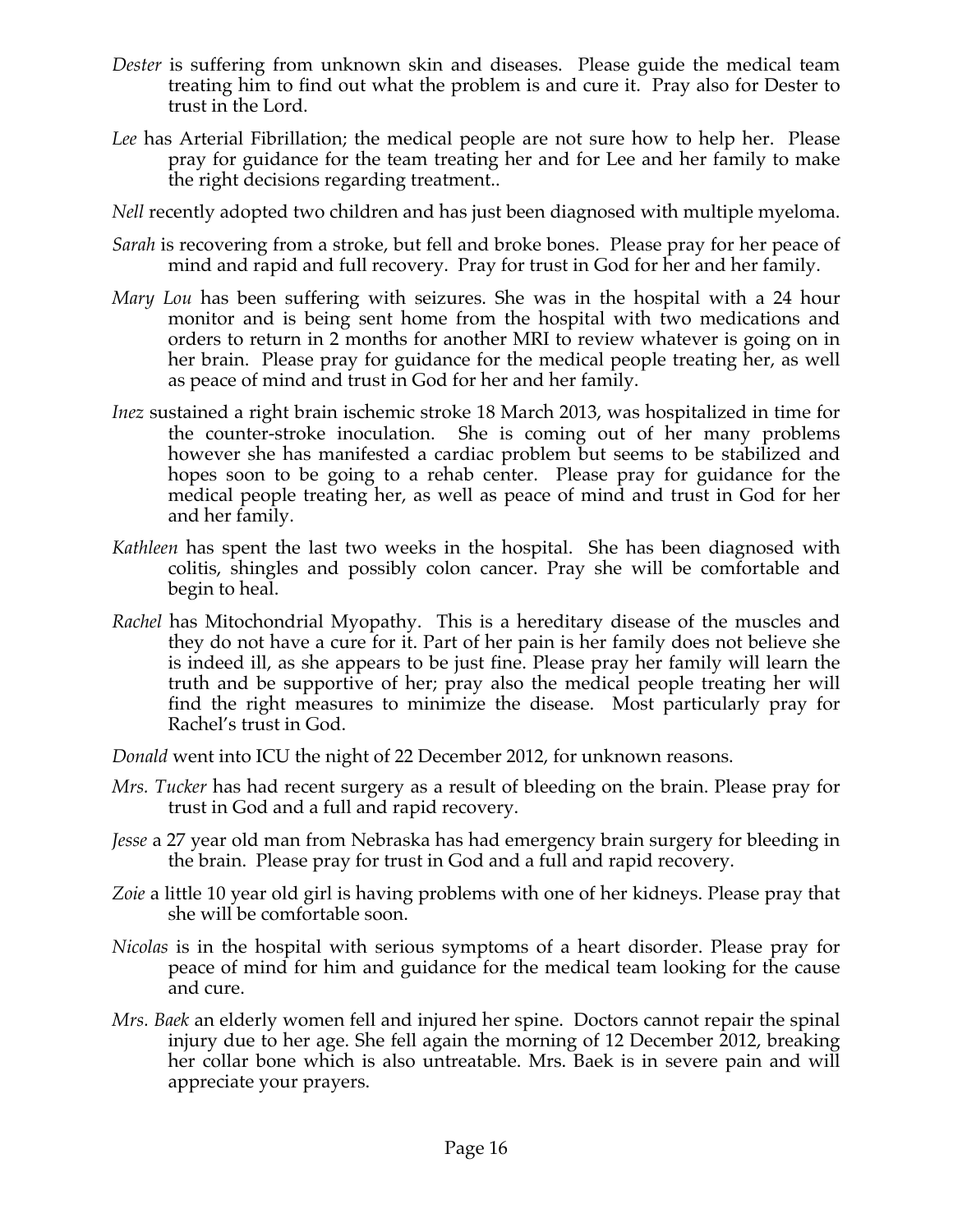- *Dester* is suffering from unknown skin and diseases. Please guide the medical team treating him to find out what the problem is and cure it. Pray also for Dester to trust in the Lord.
- *Lee* has Arterial Fibrillation; the medical people are not sure how to help her. Please pray for guidance for the team treating her and for Lee and her family to make the right decisions regarding treatment..
- *Nell* recently adopted two children and has just been diagnosed with multiple myeloma.
- *Sarah* is recovering from a stroke, but fell and broke bones. Please pray for her peace of mind and rapid and full recovery. Pray for trust in God for her and her family.
- *Mary Lou* has been suffering with seizures. She was in the hospital with a 24 hour monitor and is being sent home from the hospital with two medications and orders to return in 2 months for another MRI to review whatever is going on in her brain. Please pray for guidance for the medical people treating her, as well as peace of mind and trust in God for her and her family.
- *Inez* sustained a right brain ischemic stroke 18 March 2013, was hospitalized in time for the counter-stroke inoculation. She is coming out of her many problems however she has manifested a cardiac problem but seems to be stabilized and hopes soon to be going to a rehab center. Please pray for guidance for the medical people treating her, as well as peace of mind and trust in God for her and her family.
- *Kathleen* has spent the last two weeks in the hospital. She has been diagnosed with colitis, shingles and possibly colon cancer. Pray she will be comfortable and begin to heal.
- *Rachel* has Mitochondrial Myopathy. This is a hereditary disease of the muscles and they do not have a cure for it. Part of her pain is her family does not believe she is indeed ill, as she appears to be just fine. Please pray her family will learn the truth and be supportive of her; pray also the medical people treating her will find the right measures to minimize the disease. Most particularly pray for Rachel's trust in God.
- *Donald* went into ICU the night of 22 December 2012, for unknown reasons.
- *Mrs. Tucker* has had recent surgery as a result of bleeding on the brain. Please pray for trust in God and a full and rapid recovery.
- *Jesse* a 27 year old man from Nebraska has had emergency brain surgery for bleeding in the brain. Please pray for trust in God and a full and rapid recovery.
- *Zoie* a little 10 year old girl is having problems with one of her kidneys. Please pray that she will be comfortable soon.
- *Nicolas* is in the hospital with serious symptoms of a heart disorder. Please pray for peace of mind for him and guidance for the medical team looking for the cause and cure.
- *Mrs. Baek* an elderly women fell and injured her spine. Doctors cannot repair the spinal injury due to her age. She fell again the morning of 12 December 2012, breaking her collar bone which is also untreatable. Mrs. Baek is in severe pain and will appreciate your prayers.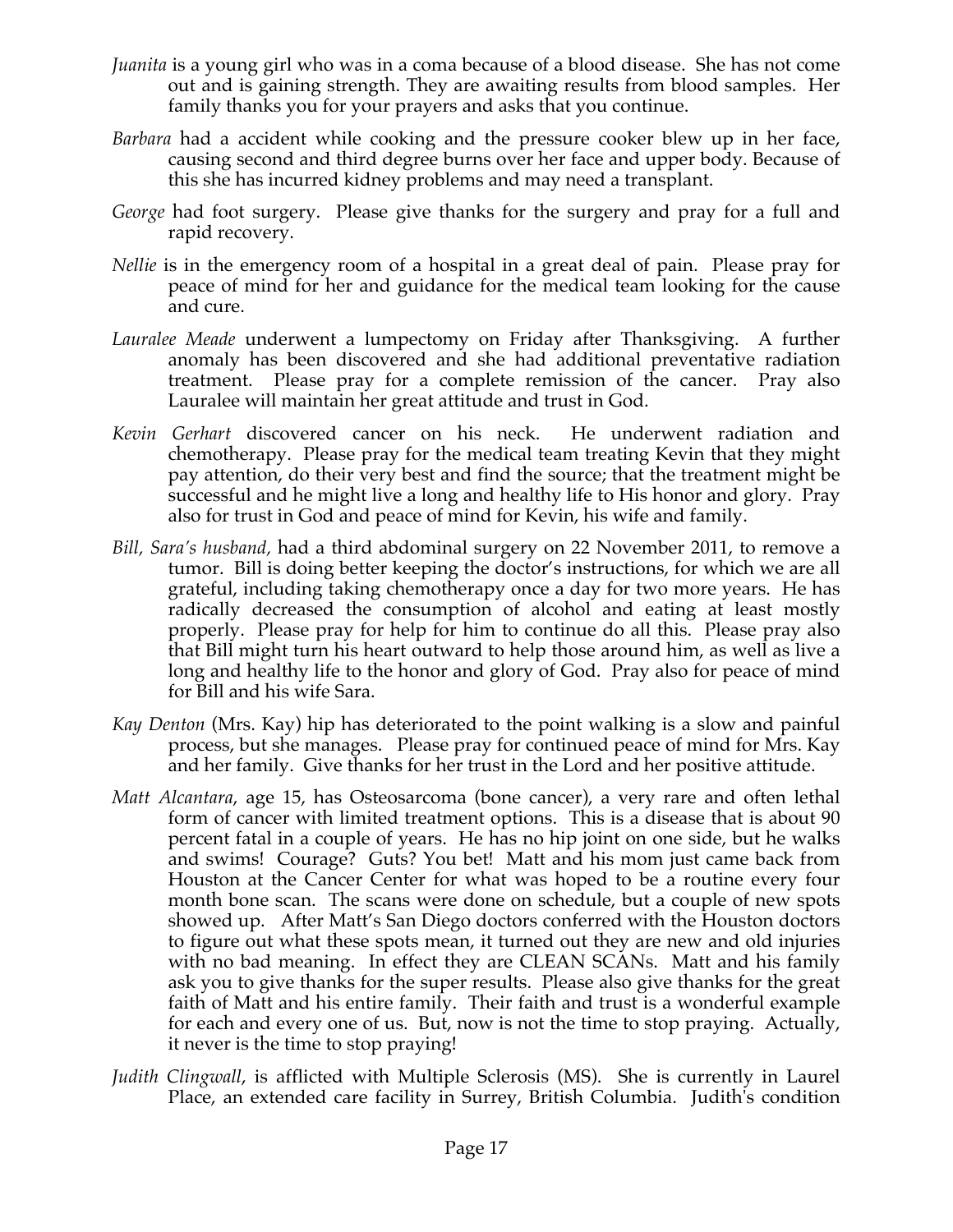- *Juanita* is a young girl who was in a coma because of a blood disease. She has not come out and is gaining strength. They are awaiting results from blood samples. Her family thanks you for your prayers and asks that you continue.
- *Barbara* had a accident while cooking and the pressure cooker blew up in her face, causing second and third degree burns over her face and upper body. Because of this she has incurred kidney problems and may need a transplant.
- *George* had foot surgery. Please give thanks for the surgery and pray for a full and rapid recovery.
- *Nellie* is in the emergency room of a hospital in a great deal of pain. Please pray for peace of mind for her and guidance for the medical team looking for the cause and cure.
- *Lauralee Meade* underwent a lumpectomy on Friday after Thanksgiving. A further anomaly has been discovered and she had additional preventative radiation treatment. Please pray for a complete remission of the cancer. Pray also Lauralee will maintain her great attitude and trust in God.
- *Kevin Gerhart* discovered cancer on his neck. He underwent radiation and chemotherapy. Please pray for the medical team treating Kevin that they might pay attention, do their very best and find the source; that the treatment might be successful and he might live a long and healthy life to His honor and glory. Pray also for trust in God and peace of mind for Kevin, his wife and family.
- *Bill, Sara's husband,* had a third abdominal surgery on 22 November 2011, to remove a tumor. Bill is doing better keeping the doctor's instructions, for which we are all grateful, including taking chemotherapy once a day for two more years. He has radically decreased the consumption of alcohol and eating at least mostly properly. Please pray for help for him to continue do all this. Please pray also that Bill might turn his heart outward to help those around him, as well as live a long and healthy life to the honor and glory of God. Pray also for peace of mind for Bill and his wife Sara.
- *Kay Denton* (Mrs. Kay) hip has deteriorated to the point walking is a slow and painful process, but she manages. Please pray for continued peace of mind for Mrs. Kay and her family. Give thanks for her trust in the Lord and her positive attitude.
- *Matt Alcantara*, age 15, has Osteosarcoma (bone cancer), a very rare and often lethal form of cancer with limited treatment options. This is a disease that is about 90 percent fatal in a couple of years. He has no hip joint on one side, but he walks and swims! Courage? Guts? You bet! Matt and his mom just came back from Houston at the Cancer Center for what was hoped to be a routine every four month bone scan. The scans were done on schedule, but a couple of new spots showed up. After Matt's San Diego doctors conferred with the Houston doctors to figure out what these spots mean, it turned out they are new and old injuries with no bad meaning. In effect they are CLEAN SCANs. Matt and his family ask you to give thanks for the super results. Please also give thanks for the great faith of Matt and his entire family. Their faith and trust is a wonderful example for each and every one of us. But, now is not the time to stop praying. Actually, it never is the time to stop praying!
- *Judith Clingwall*, is afflicted with Multiple Sclerosis (MS). She is currently in Laurel Place, an extended care facility in Surrey, British Columbia. Judith's condition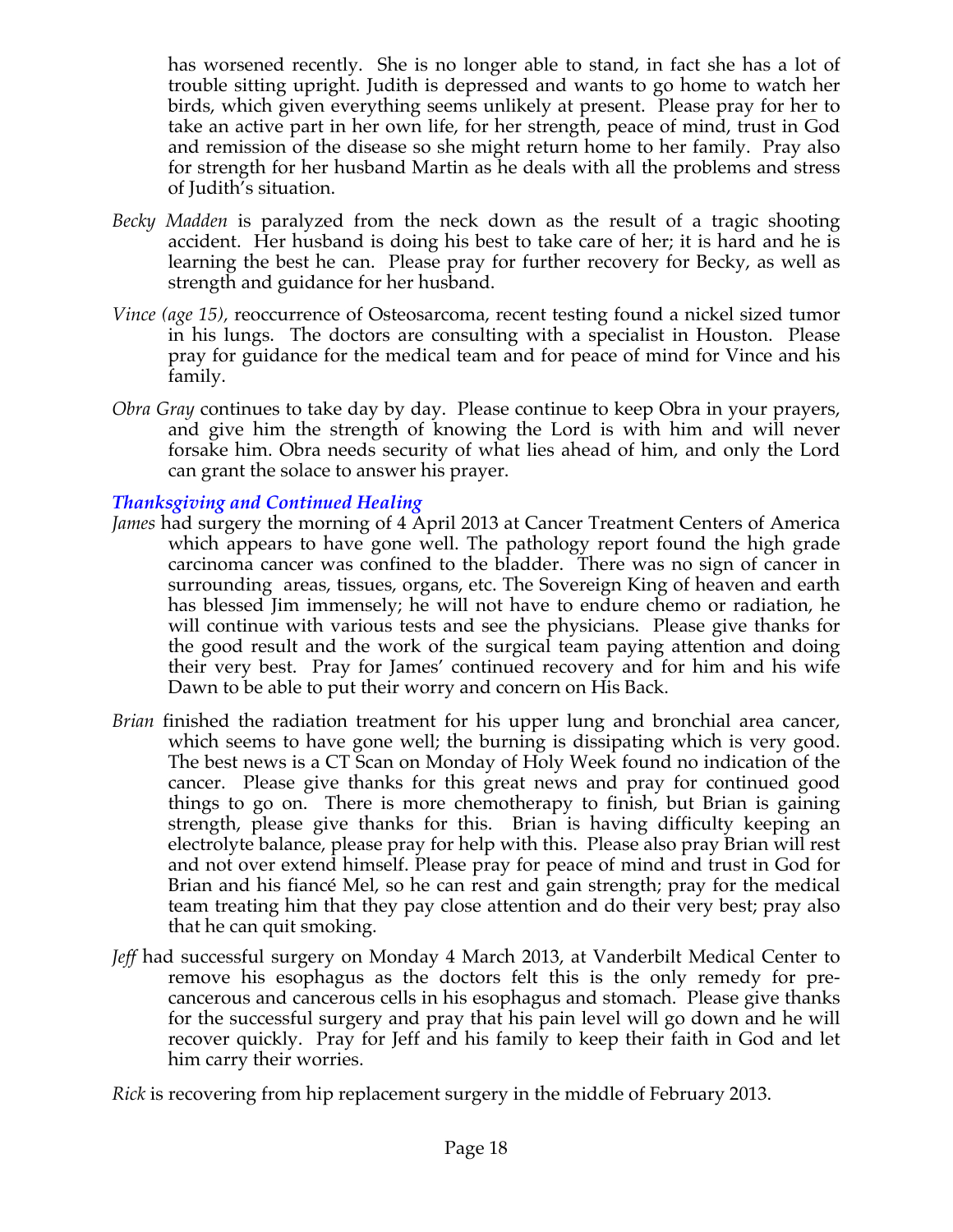has worsened recently. She is no longer able to stand, in fact she has a lot of trouble sitting upright. Judith is depressed and wants to go home to watch her birds, which given everything seems unlikely at present. Please pray for her to take an active part in her own life, for her strength, peace of mind, trust in God and remission of the disease so she might return home to her family. Pray also for strength for her husband Martin as he deals with all the problems and stress of Judith's situation.

- *Becky Madden* is paralyzed from the neck down as the result of a tragic shooting accident. Her husband is doing his best to take care of her; it is hard and he is learning the best he can. Please pray for further recovery for Becky, as well as strength and guidance for her husband.
- *Vince (age 15),* reoccurrence of Osteosarcoma, recent testing found a nickel sized tumor in his lungs. The doctors are consulting with a specialist in Houston. Please pray for guidance for the medical team and for peace of mind for Vince and his family.
- *Obra Gray* continues to take day by day. Please continue to keep Obra in your prayers, and give him the strength of knowing the Lord is with him and will never forsake him. Obra needs security of what lies ahead of him, and only the Lord can grant the solace to answer his prayer.

### *Thanksgiving and Continued Healing*

- *James* had surgery the morning of 4 April 2013 at Cancer Treatment Centers of America which appears to have gone well. The pathology report found the high grade carcinoma cancer was confined to the bladder. There was no sign of cancer in surrounding areas, tissues, organs, etc. The Sovereign King of heaven and earth has blessed Jim immensely; he will not have to endure chemo or radiation, he will continue with various tests and see the physicians. Please give thanks for the good result and the work of the surgical team paying attention and doing their very best. Pray for James' continued recovery and for him and his wife Dawn to be able to put their worry and concern on His Back.
- *Brian* finished the radiation treatment for his upper lung and bronchial area cancer, which seems to have gone well; the burning is dissipating which is very good. The best news is a CT Scan on Monday of Holy Week found no indication of the cancer. Please give thanks for this great news and pray for continued good things to go on. There is more chemotherapy to finish, but Brian is gaining strength, please give thanks for this. Brian is having difficulty keeping an electrolyte balance, please pray for help with this. Please also pray Brian will rest and not over extend himself. Please pray for peace of mind and trust in God for Brian and his fiancé Mel, so he can rest and gain strength; pray for the medical team treating him that they pay close attention and do their very best; pray also that he can quit smoking.
- *Jeff* had successful surgery on Monday 4 March 2013, at Vanderbilt Medical Center to remove his esophagus as the doctors felt this is the only remedy for precancerous and cancerous cells in his esophagus and stomach. Please give thanks for the successful surgery and pray that his pain level will go down and he will recover quickly. Pray for Jeff and his family to keep their faith in God and let him carry their worries.

*Rick* is recovering from hip replacement surgery in the middle of February 2013.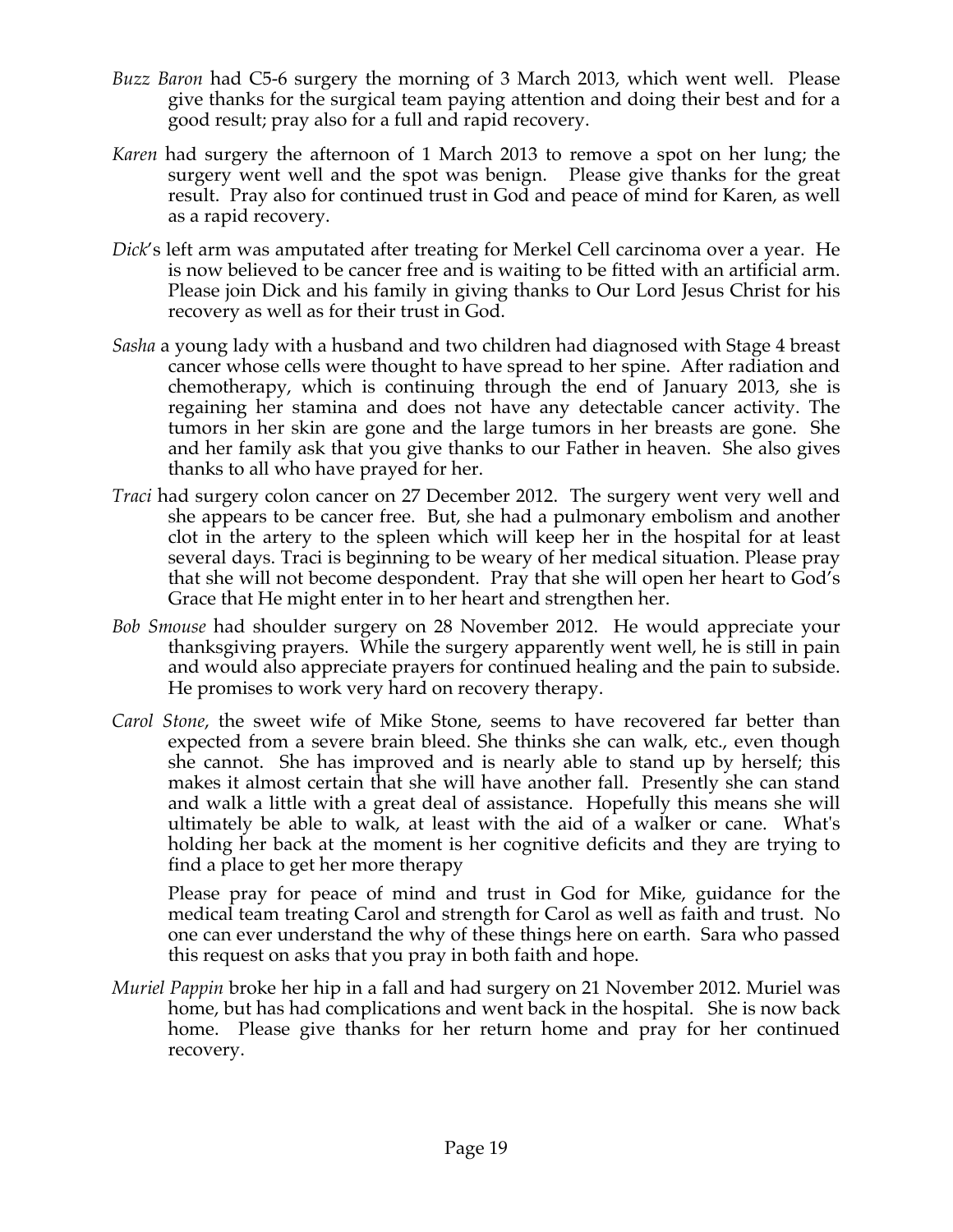- *Buzz Baron* had C5-6 surgery the morning of 3 March 2013, which went well. Please give thanks for the surgical team paying attention and doing their best and for a good result; pray also for a full and rapid recovery.
- *Karen* had surgery the afternoon of 1 March 2013 to remove a spot on her lung; the surgery went well and the spot was benign. Please give thanks for the great result. Pray also for continued trust in God and peace of mind for Karen, as well as a rapid recovery.
- *Dick*'s left arm was amputated after treating for Merkel Cell carcinoma over a year. He is now believed to be cancer free and is waiting to be fitted with an artificial arm. Please join Dick and his family in giving thanks to Our Lord Jesus Christ for his recovery as well as for their trust in God.
- *Sasha* a young lady with a husband and two children had diagnosed with Stage 4 breast cancer whose cells were thought to have spread to her spine. After radiation and chemotherapy, which is continuing through the end of January 2013, she is regaining her stamina and does not have any detectable cancer activity. The tumors in her skin are gone and the large tumors in her breasts are gone. She and her family ask that you give thanks to our Father in heaven. She also gives thanks to all who have prayed for her.
- *Traci* had surgery colon cancer on 27 December 2012. The surgery went very well and she appears to be cancer free. But, she had a pulmonary embolism and another clot in the artery to the spleen which will keep her in the hospital for at least several days. Traci is beginning to be weary of her medical situation. Please pray that she will not become despondent. Pray that she will open her heart to God's Grace that He might enter in to her heart and strengthen her.
- *Bob Smouse* had shoulder surgery on 28 November 2012. He would appreciate your thanksgiving prayers. While the surgery apparently went well, he is still in pain and would also appreciate prayers for continued healing and the pain to subside. He promises to work very hard on recovery therapy.
- *Carol Stone*, the sweet wife of Mike Stone, seems to have recovered far better than expected from a severe brain bleed. She thinks she can walk, etc., even though she cannot. She has improved and is nearly able to stand up by herself; this makes it almost certain that she will have another fall. Presently she can stand and walk a little with a great deal of assistance. Hopefully this means she will ultimately be able to walk, at least with the aid of a walker or cane. What's holding her back at the moment is her cognitive deficits and they are trying to find a place to get her more therapy

Please pray for peace of mind and trust in God for Mike, guidance for the medical team treating Carol and strength for Carol as well as faith and trust. No one can ever understand the why of these things here on earth. Sara who passed this request on asks that you pray in both faith and hope.

*Muriel Pappin* broke her hip in a fall and had surgery on 21 November 2012. Muriel was home, but has had complications and went back in the hospital. She is now back home. Please give thanks for her return home and pray for her continued recovery.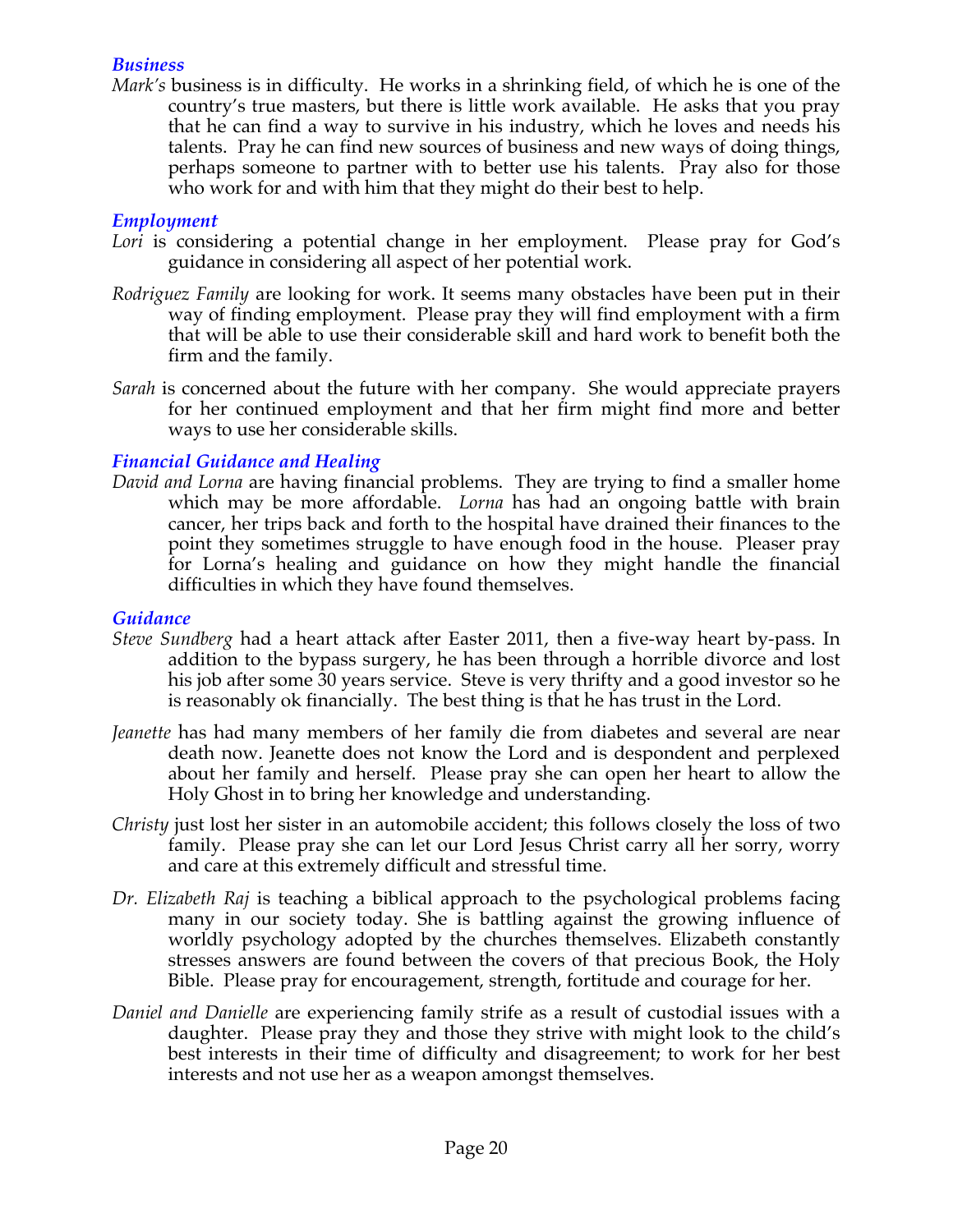#### *Business*

*Mark's* business is in difficulty. He works in a shrinking field, of which he is one of the country's true masters, but there is little work available. He asks that you pray that he can find a way to survive in his industry, which he loves and needs his talents. Pray he can find new sources of business and new ways of doing things, perhaps someone to partner with to better use his talents. Pray also for those who work for and with him that they might do their best to help.

### *Employment*

- Lori is considering a potential change in her employment. Please pray for God's guidance in considering all aspect of her potential work.
- *Rodriguez Family* are looking for work. It seems many obstacles have been put in their way of finding employment. Please pray they will find employment with a firm that will be able to use their considerable skill and hard work to benefit both the firm and the family.
- *Sarah* is concerned about the future with her company. She would appreciate prayers for her continued employment and that her firm might find more and better ways to use her considerable skills.

### *Financial Guidance and Healing*

*David and Lorna* are having financial problems. They are trying to find a smaller home which may be more affordable. *Lorna* has had an ongoing battle with brain cancer, her trips back and forth to the hospital have drained their finances to the point they sometimes struggle to have enough food in the house. Pleaser pray for Lorna's healing and guidance on how they might handle the financial difficulties in which they have found themselves.

#### *Guidance*

- *Steve Sundberg* had a heart attack after Easter 2011, then a five-way heart by-pass. In addition to the bypass surgery, he has been through a horrible divorce and lost his job after some 30 years service. Steve is very thrifty and a good investor so he is reasonably ok financially. The best thing is that he has trust in the Lord.
- *Jeanette* has had many members of her family die from diabetes and several are near death now. Jeanette does not know the Lord and is despondent and perplexed about her family and herself. Please pray she can open her heart to allow the Holy Ghost in to bring her knowledge and understanding.
- *Christy* just lost her sister in an automobile accident; this follows closely the loss of two family. Please pray she can let our Lord Jesus Christ carry all her sorry, worry and care at this extremely difficult and stressful time.
- *Dr. Elizabeth Raj* is teaching a biblical approach to the psychological problems facing many in our society today. She is battling against the growing influence of worldly psychology adopted by the churches themselves. Elizabeth constantly stresses answers are found between the covers of that precious Book, the Holy Bible. Please pray for encouragement, strength, fortitude and courage for her.
- *Daniel and Danielle* are experiencing family strife as a result of custodial issues with a daughter. Please pray they and those they strive with might look to the child's best interests in their time of difficulty and disagreement; to work for her best interests and not use her as a weapon amongst themselves.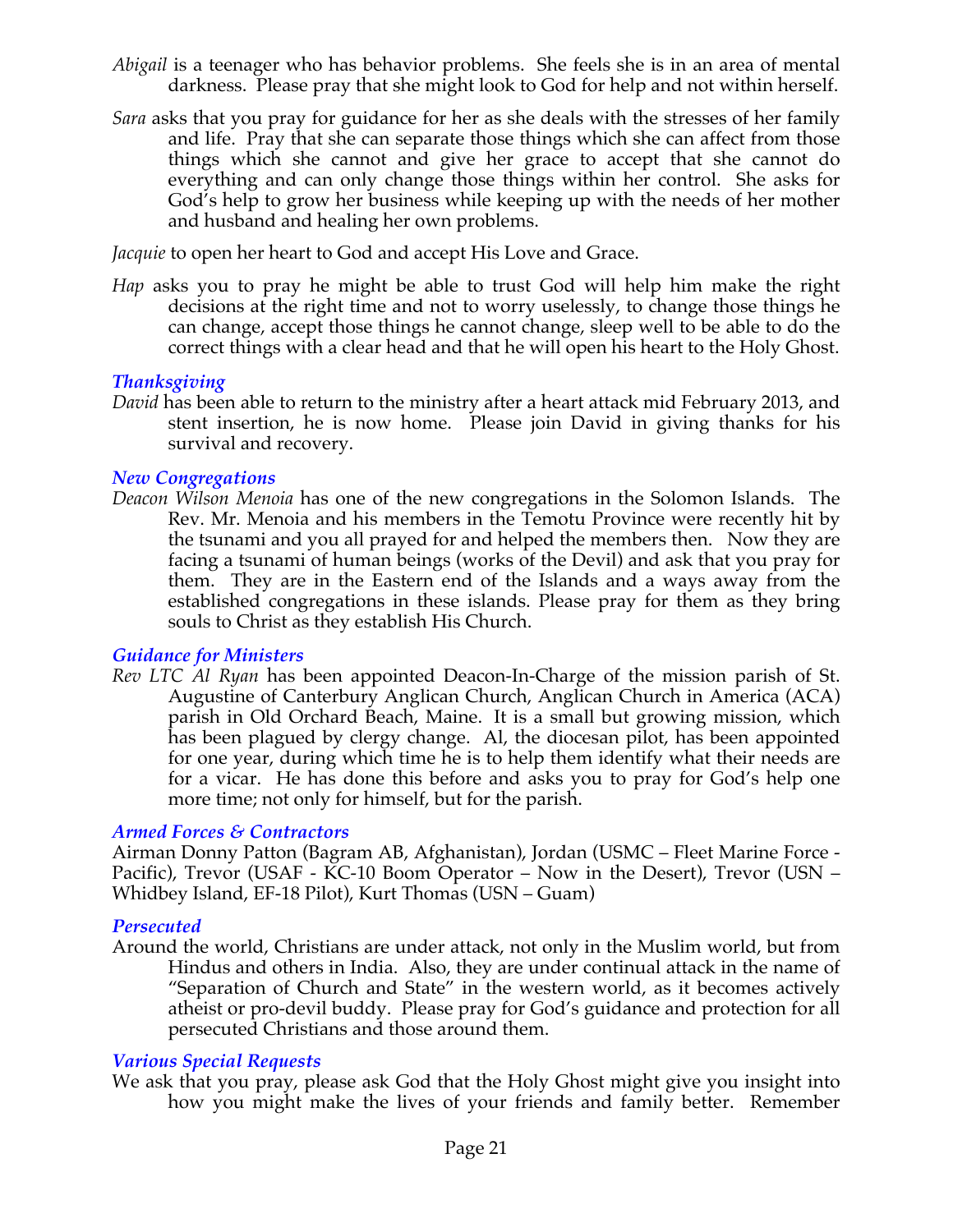- *Abigail* is a teenager who has behavior problems. She feels she is in an area of mental darkness. Please pray that she might look to God for help and not within herself.
- *Sara* asks that you pray for guidance for her as she deals with the stresses of her family and life. Pray that she can separate those things which she can affect from those things which she cannot and give her grace to accept that she cannot do everything and can only change those things within her control. She asks for God's help to grow her business while keeping up with the needs of her mother and husband and healing her own problems.

*Jacquie* to open her heart to God and accept His Love and Grace.

*Hap* asks you to pray he might be able to trust God will help him make the right decisions at the right time and not to worry uselessly, to change those things he can change, accept those things he cannot change, sleep well to be able to do the correct things with a clear head and that he will open his heart to the Holy Ghost.

### *Thanksgiving*

*David* has been able to return to the ministry after a heart attack mid February 2013, and stent insertion, he is now home. Please join David in giving thanks for his survival and recovery.

#### *New Congregations*

*Deacon Wilson Menoia* has one of the new congregations in the Solomon Islands. The Rev. Mr. Menoia and his members in the Temotu Province were recently hit by the tsunami and you all prayed for and helped the members then. Now they are facing a tsunami of human beings (works of the Devil) and ask that you pray for them. They are in the Eastern end of the Islands and a ways away from the established congregations in these islands. Please pray for them as they bring souls to Christ as they establish His Church.

#### *Guidance for Ministers*

*Rev LTC Al Ryan* has been appointed Deacon-In-Charge of the mission parish of St. Augustine of Canterbury Anglican Church, Anglican Church in America (ACA) parish in Old Orchard Beach, Maine. It is a small but growing mission, which has been plagued by clergy change. Al, the diocesan pilot, has been appointed for one year, during which time he is to help them identify what their needs are for a vicar. He has done this before and asks you to pray for God's help one more time; not only for himself, but for the parish.

#### *Armed Forces & Contractors*

Airman Donny Patton (Bagram AB, Afghanistan), Jordan (USMC – Fleet Marine Force - Pacific), Trevor (USAF - KC-10 Boom Operator – Now in the Desert), Trevor (USN – Whidbey Island, EF-18 Pilot), Kurt Thomas (USN – Guam)

#### *Persecuted*

Around the world, Christians are under attack, not only in the Muslim world, but from Hindus and others in India. Also, they are under continual attack in the name of "Separation of Church and State" in the western world, as it becomes actively atheist or pro-devil buddy. Please pray for God's guidance and protection for all persecuted Christians and those around them.

#### *Various Special Requests*

We ask that you pray, please ask God that the Holy Ghost might give you insight into how you might make the lives of your friends and family better. Remember